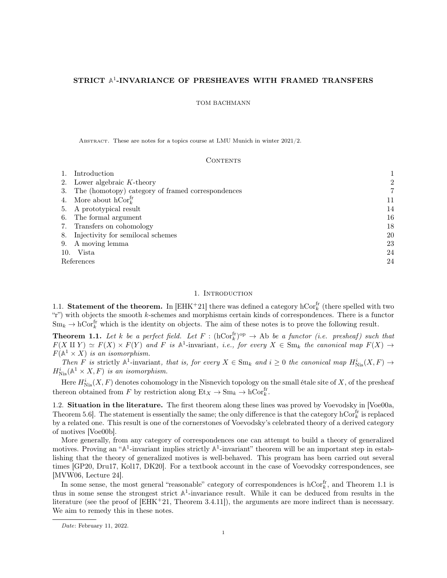# <span id="page-0-2"></span>STRICT A<sup>1</sup>-INVARIANCE OF PRESHEAVES WITH FRAMED TRANSFERS

### TOM BACHMANN

Abstract. These are notes for a topics course at LMU Munich in winter 2021/2.

#### **CONTENTS**

| Introduction                                      |    |
|---------------------------------------------------|----|
| 2. Lower algebraic $K$ -theory                    | 2  |
| The (homotopy) category of framed correspondences | 7  |
| 4. More about $\mathrm{hCor}^{\mathrm{fr}}_k$     | 11 |
| 5. A prototypical result                          | 14 |
| 6. The formal argument                            | 16 |
| 7. Transfers on cohomology                        | 18 |
| 8. Injectivity for semilocal schemes              | 20 |
| 9. A moving lemma                                 | 23 |
| Vista<br>10.                                      | 24 |
| References                                        | 24 |
|                                                   |    |

## 1. INTRODUCTION

<span id="page-0-0"></span>1.1. Statement of the theorem. In  $[EHK^+21]$  $[EHK^+21]$  there was defined a category  $hCor_k^{\text{fr}}$  (there spelled with two "r") with objects the smooth k-schemes and morphisms certain kinds of correspondences. There is a functor  $Sm_k \to hCor_k^{\text{fr}}$  which is the identity on objects. The aim of these notes is to prove the following result.

<span id="page-0-1"></span>**Theorem 1.1.** Let k be a perfect field. Let  $F : (\text{hCor}_k^{\text{fr}})^{\text{op}} \to \text{Ab}$  be a functor (i.e. presheaf) such that  $F(X \amalg Y) \simeq F(X) \times F(Y)$  and F is  $\mathbb{A}^1$ -invariant, i.e., for every  $X \in \text{Sm}_k$  the canonical map  $F(X) \to$  $F(A^1 \times X)$  is an isomorphism.

Then F is strictly  $\mathbb{A}^1$ -invariant, that is, for every  $X \in \text{Sm}_k$  and  $i \geq 0$  the canonical map  $H^i_{Nis}(X, F) \to$  $H^i_{\text{Nis}}(\mathbb{A}^1 \times X, F)$  is an isomorphism.

Here  $H_{\text{Nis}}^{i}(X, F)$  denotes cohomology in the Nisnevich topology on the small étale site of X, of the presheaf thereon obtained from F by restriction along  $Et_X \to Sm_k \to hCor_k^{\text{fr}}$ .

1.2. Situation in the literature. The first theorem along these lines was proved by Voevodsky in [\[Voe00a,](#page-24-0) Theorem 5.6]. The statement is essentially the same; the only difference is that the category  $\mathrm{hCor}_k^{\mathrm{fr}}$  is replaced by a related one. This result is one of the cornerstones of Voevodsky's celebrated theory of a derived category of motives [\[Voe00b\]](#page-24-1).

More generally, from any category of correspondences one can attempt to build a theory of generalized motives. Proving an " $\mathbb{A}^1$ -invariant implies strictly  $\mathbb{A}^1$ -invariant" theorem will be an important step in establishing that the theory of generalized motives is well-behaved. This program has been carried out several times [\[GP20,](#page-23-3) [Dru17,](#page-23-4) [Kol17,](#page-23-5) [DK20\]](#page-23-6). For a textbook account in the case of Voevodsky correspondences, see [\[MVW06,](#page-24-2) Lecture 24].

In some sense, the most general "reasonable" category of correspondences is  $hCor_k^{\text{fr}}$ , and Theorem [1.1](#page-0-1) is thus in some sense the strongest strict **A** 1 -invariance result. While it can be deduced from results in the literature (see the proof of  $[EHK+21,$  $[EHK+21,$  Theorem 3.4.11]), the arguments are more indirect than is necessary. We aim to remedy this in these notes.

Date: February 11, 2022.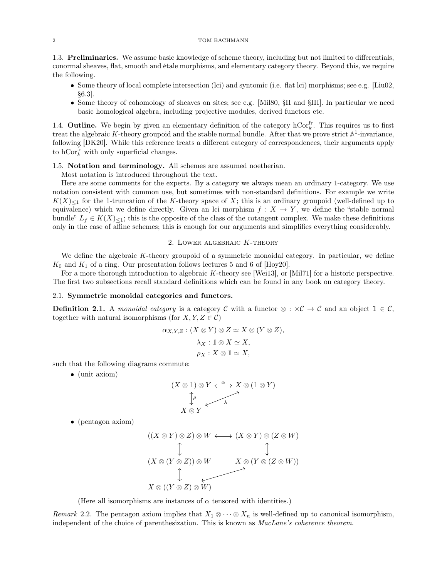### 2 TOM BACHMANN

1.3. Preliminaries. We assume basic knowledge of scheme theory, including but not limited to differentials, conormal sheaves, flat, smooth and étale morphisms, and elementary category theory. Beyond this, we require the following.

- Some theory of local complete intersection (lci) and syntomic (i.e. flat lci) morphisms; see e.g. [\[Liu02,](#page-23-7) §6.3].
- Some theory of cohomology of sheaves on sites; see e.g. [\[Mil80,](#page-23-8) §II and §III]. In particular we need basic homological algebra, including projective modules, derived functors etc.

1.4. **Outline.** We begin by given an elementary definition of the category  $hCor_k^{\text{fr}}$ . This requires us to first treat the algebraic K-theory groupoid and the stable normal bundle. After that we prove strict  $A^1$ -invariance, following [\[DK20\]](#page-23-6). While this reference treats a different category of correspondences, their arguments apply to  $\mathrm{hCor}_k^{\text{fr}}$  with only superficial changes.

### 1.5. Notation and terminology. All schemes are assumed noetherian.

Most notation is introduced throughout the text.

Here are some comments for the experts. By a category we always mean an ordinary 1-category. We use notation consistent with common use, but sometimes with non-standard definitions. For example we write  $K(X)_{\leq 1}$  for the 1-truncation of the K-theory space of X; this is an ordinary groupoid (well-defined up to equivalence) which we define directly. Given an lci morphism  $f : X \to Y$ , we define the "stable normal" bundle"  $L_f \in K(X)_{\leq 1}$ ; this is the opposite of the class of the cotangent complex. We make these definitions only in the case of affine schemes; this is enough for our arguments and simplifies everything considerably.

### 2. Lower algebraic K-theory

<span id="page-1-0"></span>We define the algebraic K-theory groupoid of a symmetric monoidal category. In particular, we define  $K_0$  and  $K_1$  of a ring. Our presentation follows lectures 5 and 6 of [\[Hoy20\]](#page-23-9).

For a more thorough introduction to algebraic K-theory see [\[Wei13\]](#page-24-3), or [\[Mil71\]](#page-23-10) for a historic perspective. The first two subsections recall standard definitions which can be found in any book on category theory.

### 2.1. Symmetric monoidal categories and functors.

**Definition 2.1.** A monoidal category is a category C with a functor  $\otimes : \times \mathcal{C} \to \mathcal{C}$  and an object  $1 \in \mathcal{C}$ , together with natural isomorphisms (for  $X, Y, Z \in \mathcal{C}$ )

$$
\alpha_{X,Y,Z}: (X \otimes Y) \otimes Z \simeq X \otimes (Y \otimes Z),
$$

$$
\lambda_X: \mathbb{1} \otimes X \simeq X,
$$

$$
\rho_X: X \otimes \mathbb{1} \simeq X,
$$

such that the following diagrams commute:

• (unit axiom)

$$
(X \otimes 1) \otimes Y \xleftarrow{\alpha} X \otimes (1 \otimes Y)
$$
  
\n
$$
\uparrow \rho
$$
  
\n
$$
X \otimes Y
$$

• (pentagon axiom)

$$
((X \otimes Y) \otimes Z) \otimes W \longleftrightarrow (X \otimes Y) \otimes (Z \otimes W)
$$
  
\n
$$
(X \otimes (Y \otimes Z)) \otimes W
$$
\n
$$
X \otimes (Y \otimes (Z \otimes W))
$$
  
\n
$$
X \otimes ((Y \otimes Z) \otimes W)
$$

(Here all isomorphisms are instances of  $\alpha$  tensored with identities.)

Remark 2.2. The pentagon axiom implies that  $X_1 \otimes \cdots \otimes X_n$  is well-defined up to canonical isomorphism, independent of the choice of parenthesization. This is known as *MacLane's coherence theorem*.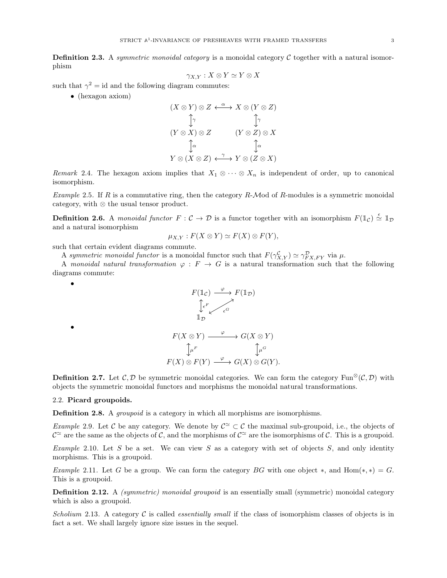**Definition 2.3.** A symmetric monoidal category is a monoidal category  $\mathcal C$  together with a natural isomorphism

$$
\gamma_{X,Y}: X \otimes Y \simeq Y \otimes X
$$

such that  $\gamma^2 = id$  and the following diagram commutes:

• (hexagon axiom)

$$
(X \otimes Y) \otimes Z \xleftarrow{\alpha} X \otimes (Y \otimes Z)
$$
  
\n
$$
\uparrow \gamma \qquad \qquad \uparrow \gamma
$$
  
\n
$$
(Y \otimes X) \otimes Z \qquad (Y \otimes Z) \otimes X
$$
  
\n
$$
\uparrow \alpha \qquad \qquad \uparrow \alpha
$$
  
\n
$$
Y \otimes (X \otimes Z) \xleftarrow{\gamma} Y \otimes (Z \otimes X)
$$

Remark 2.4. The hexagon axiom implies that  $X_1 \otimes \cdots \otimes X_n$  is independent of order, up to canonical isomorphism.

Example 2.5. If R is a commutative ring, then the category R-Mod of R-modules is a symmetric monoidal category, with ⊗ the usual tensor product.

**Definition 2.6.** A monoidal functor  $F: \mathcal{C} \to \mathcal{D}$  is a functor together with an isomorphism  $F(\mathbb{1}_{\mathcal{C}}) \stackrel{\epsilon}{\simeq} \mathbb{1}_{\mathcal{D}}$ and a natural isomorphism

$$
\mu_{X,Y}: F(X \otimes Y) \simeq F(X) \otimes F(Y),
$$

such that certain evident diagrams commute.

A symmetric monoidal functor is a monoidal functor such that  $F(\gamma_{X,Y}^{\mathcal{C}}) \simeq \gamma_{FX,FY}^{\mathcal{D}}$  via  $\mu$ .

A monoidal natural transformation  $\varphi : F \to G$  is a natural transformation such that the following diagrams commute:



**Definition 2.7.** Let  $\mathcal{C}, \mathcal{D}$  be symmetric monoidal categories. We can form the category Fun<sup>⊗</sup>( $\mathcal{C}, \mathcal{D}$ ) with objects the symmetric monoidal functors and morphisms the monoidal natural transformations.

### 2.2. Picard groupoids.

•

•

Definition 2.8. A *groupoid* is a category in which all morphisms are isomorphisms.

*Example* 2.9. Let C be any category. We denote by  $C^{\simeq} \subset C$  the maximal sub-groupoid, i.e., the objects of  $\mathcal{C}^{\simeq}$  are the same as the objects of C, and the morphisms of  $\mathcal{C}^{\simeq}$  are the isomorphisms of C. This is a groupoid.

<span id="page-2-0"></span>Example 2.10. Let S be a set. We can view S as a category with set of objects  $S$ , and only identity morphisms. This is a groupoid.

Example 2.11. Let G be a group. We can form the category BG with one object  $\ast$ , and Hom( $\ast$ , $\ast$ ) = G. This is a groupoid.

Definition 2.12. A *(symmetric) monoidal groupoid* is an essentially small (symmetric) monoidal category which is also a groupoid.

Scholium 2.13. A category  $\mathcal C$  is called *essentially small* if the class of isomorphism classes of objects is in fact a set. We shall largely ignore size issues in the sequel.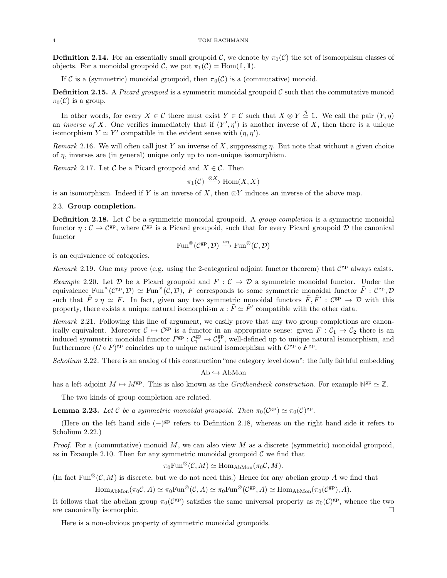**Definition 2.14.** For an essentially small groupoid C, we denote by  $\pi_0(C)$  the set of isomorphism classes of objects. For a monoidal groupoid C, we put  $\pi_1(\mathcal{C}) = \text{Hom}(\mathbb{1}, \mathbb{1}).$ 

If C is a (symmetric) monoidal groupoid, then  $\pi_0(\mathcal{C})$  is a (commutative) monoid.

**Definition 2.15.** A *Picard groupoid* is a symmetric monoidal groupoid  $\mathcal{C}$  such that the commutative monoid  $\pi_0(\mathcal{C})$  is a group.

In other words, for every  $X \in \mathcal{C}$  there must exist  $Y \in \mathcal{C}$  such that  $X \otimes Y \stackrel{\eta}{\simeq} \mathbb{1}$ . We call the pair  $(Y, \eta)$ an *inverse of X*. One verifies immediately that if  $(Y', \eta')$  is another inverse of X, then there is a unique isomorphism  $Y \simeq Y'$  compatible in the evident sense with  $(\eta, \eta')$ .

<span id="page-3-4"></span>Remark 2.16. We will often call just Y an inverse of X, suppressing  $\eta$ . But note that without a given choice of  $\eta$ , inverses are (in general) unique only up to non-unique isomorphism.

Remark 2.17. Let C be a Picard groupoid and  $X \in \mathcal{C}$ . Then

$$
\pi_1(\mathcal{C}) \xrightarrow{\otimes X} \text{Hom}(X, X)
$$

is an isomorphism. Indeed if Y is an inverse of X, then  $\otimes Y$  induces an inverse of the above map.

### 2.3. Group completion.

<span id="page-3-0"></span>**Definition 2.18.** Let  $\mathcal{C}$  be a symmetric monoidal groupoid. A *group completion* is a symmetric monoidal functor  $\eta: \mathcal{C} \to \mathcal{C}^{\text{gp}}$ , where  $\mathcal{C}^{\text{gp}}$  is a Picard groupoid, such that for every Picard groupoid  $\mathcal{D}$  the canonical functor

$$
\operatorname{Fun}^{\otimes}(\mathcal{C}^{\mathrm{gp}}, \mathcal{D}) \xrightarrow{\circ \eta} \operatorname{Fun}^{\otimes}(\mathcal{C}, \mathcal{D})
$$

is an equivalence of categories.

Remark 2.19. One may prove (e.g. using the 2-categorical adjoint functor theorem) that  $C^{gp}$  always exists.

<span id="page-3-3"></span>Example 2.20. Let D be a Picard groupoid and  $F: \mathcal{C} \to \mathcal{D}$  a symmetric monoidal functor. Under the equivalence  $\text{Fun}^\times(\mathcal{C}^{\text{gp}}, \mathcal{D}) \simeq \text{Fun}^\times(\mathcal{C}, \mathcal{D})$ , F corresponds to some symmetric monoidal functor  $\tilde{F}: \mathcal{C}^{\text{gp}}, \mathcal{D}$ such that  $\tilde{F} \circ \eta \simeq F$ . In fact, given any two symmetric monoidal functors  $\tilde{F}, \tilde{F}' : C^{gp} \to \mathcal{D}$  with this property, there exists a unique natural isomorphism  $\kappa : \tilde{F} \simeq \tilde{F}'$  compatible with the other data.

Remark 2.21. Following this line of argument, we easily prove that any two group completions are canonically equivalent. Moreover  $C \to C^{gp}$  is a functor in an appropriate sense: given  $F : C_1 \to C_2$  there is an induced symmetric monoidal functor  $F^{\text{gp}} : \mathcal{C}_1^{\text{gp}} \to \mathcal{C}_2^{\text{gp}}$ , well-defined up to unique natural isomorphism, and furthermore  $(G \circ F)^{\text{gp}}$  coincides up to unique natural isomorphism with  $G^{\text{gp}} \circ F^{\text{gp}}$ .

<span id="page-3-1"></span>Scholium 2.22. There is an analog of this construction "one category level down": the fully faithful embedding

 $Ab \hookrightarrow AbMon$ 

has a left adjoint  $M \mapsto M^{\text{gp}}$ . This is also known as the *Grothendieck construction*. For example  $\mathbb{N}^{\text{gp}} \simeq \mathbb{Z}$ .

The two kinds of group completion are related.

<span id="page-3-2"></span>**Lemma 2.23.** Let C be a symmetric monoidal groupoid. Then  $\pi_0(\mathcal{C}^{\text{gp}}) \simeq \pi_0(\mathcal{C})^{\text{gp}}$ .

(Here on the left hand side  $(-)^{gp}$  refers to Definition [2.18,](#page-3-0) whereas on the right hand side it refers to Scholium [2.22.](#page-3-1))

*Proof.* For a (commutative) monoid  $M$ , we can also view  $M$  as a discrete (symmetric) monoidal groupoid, as in Example [2.10.](#page-2-0) Then for any symmetric monoidal groupoid  $\mathcal C$  we find that

$$
\pi_0 \mathrm{Fun}^{\otimes}(\mathcal{C}, M) \simeq \mathrm{Hom}_{\mathrm{AbMon}}(\pi_0 \mathcal{C}, M).
$$

(In fact Fun<sup>⊗</sup>(C, M) is discrete, but we do not need this.) Hence for any abelian group A we find that

 $\text{Hom}_{\text{AbMon}}(\pi_0 C, A) \simeq \pi_0 \text{Fun}^{\otimes} (C, A) \simeq \pi_0 \text{Fun}^{\otimes} (C^{\text{gp}}, A) \simeq \text{Hom}_{\text{AbMon}}(\pi_0 (C^{\text{gp}}), A).$ 

It follows that the abelian group  $\pi_0(\mathcal{C}^{gp})$  satisfies the same universal property as  $\pi_0(\mathcal{C})^{gp}$ , whence the two are canonically isomorphic.

Here is a non-obvious property of symmetric monoidal groupoids.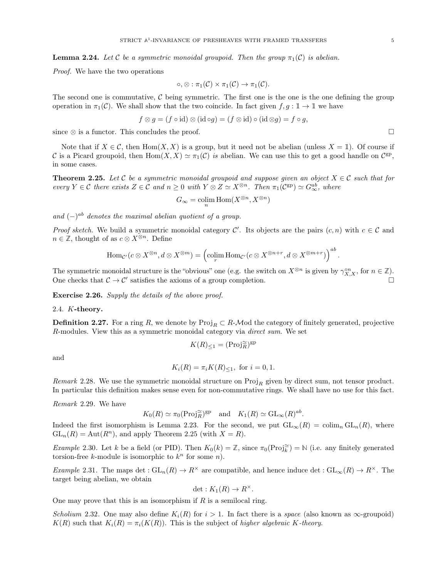Proof. We have the two operations

$$
\circ, \otimes : \pi_1(\mathcal{C}) \times \pi_1(\mathcal{C}) \to \pi_1(\mathcal{C}).
$$

The second one is commutative,  $C$  being symmetric. The first one is the one is the one defining the group operation in  $\pi_1(\mathcal{C})$ . We shall show that the two coincide. In fact given  $f, g : \mathbb{I} \to \mathbb{I}$  we have

$$
f \otimes g = (f \circ id) \otimes (id \circ g) = (f \otimes id) \circ (id \otimes g) = f \circ g,
$$

since ⊗ is a functor. This concludes the proof.  $\Box$ 

Note that if  $X \in \mathcal{C}$ , then  $\text{Hom}(X, X)$  is a group, but it need not be abelian (unless  $X = \mathbb{I}$ ). Of course if C is a Picard groupoid, then  $Hom(X, X) \simeq \pi_1(\mathcal{C})$  is abelian. We can use this to get a good handle on  $\mathcal{C}^{gp}$ , in some cases.

<span id="page-4-0"></span>**Theorem 2.25.** Let C be a symmetric monoidal groupoid and suppose given an object  $X \in \mathcal{C}$  such that for every  $Y \in \mathcal{C}$  there exists  $Z \in \mathcal{C}$  and  $n \geq 0$  with  $Y \otimes Z \simeq X^{\otimes n}$ . Then  $\pi_1(\mathcal{C}^{\otimes p}) \simeq G_{\infty}^{ab}$ , where

$$
G_{\infty} = \operatornamewithlimits{colim}_n \operatorname{Hom}(X^{\otimes n}, X^{\otimes n})
$$

and  $(-)^{ab}$  denotes the maximal abelian quotient of a group.

*Proof sketch.* We build a symmetric monoidal category C'. Its objects are the pairs  $(c, n)$  with  $c \in \mathcal{C}$  and  $n \in \mathbb{Z}$ , thought of as  $c \otimes X^{\otimes n}$ . Define

$$
\mathrm{Hom}_{\mathcal{C}'}(c\otimes X^{\otimes n}, d\otimes X^{\otimes m})=\left(\mathrm{colim}_r\mathrm{Hom}_{\mathcal{C}'}(c\otimes X^{\otimes n+r}, d\otimes X^{\otimes m+r})\right)^{ab}.
$$

The symmetric monoidal structure is the "obvious" one (e.g. the switch on  $X^{\otimes n}$  is given by  $\gamma_{X,X}^{on}$ , for  $n \in \mathbb{Z}$ ). One checks that  $C \to C'$  satisfies the axioms of a group completion.

Exercise 2.26. Supply the details of the above proof.

### 2.4. K-theory.

**Definition 2.27.** For a ring R, we denote by  $\text{Proj}_R \subset R$ -Mod the category of finitely generated, projective R-modules. View this as a symmetric monoidal category via direct sum. We set

$$
K(R)_{\leq 1} = (\text{Proj}_{R}^{\simeq})^{\text{gp}}
$$

and

$$
K_i(R) = \pi_i K(R)_{\leq 1}
$$
, for  $i = 0, 1$ .

Remark 2.28. We use the symmetric monoidal structure on  $\text{Proj}_R$  given by direct sum, not tensor product. In particular this definition makes sense even for non-commutative rings. We shall have no use for this fact.

Remark 2.29. We have

$$
K_0(R) \simeq \pi_0(\text{Proj}_{R}^{\simeq})^{\text{gp}}
$$
 and  $K_1(R) \simeq \text{GL}_{\infty}(R)^{ab}$ .

Indeed the first isomorphism is Lemma [2.23.](#page-3-2) For the second, we put  $GL_{\infty}(R) = \text{colim}_{n} GL_{n}(R)$ , where  $GL_n(R) = Aut(R^n)$ , and apply Theorem [2.25](#page-4-0) (with  $X = R$ ).

Example 2.30. Let k be a field (or PID). Then  $K_0(k) = \mathbb{Z}$ , since  $\pi_0(\text{Proj}_{\mathbb{R}}^{\simeq}) = \mathbb{N}$  (i.e. any finitely generated torsion-free k-module is isomorphic to  $k^n$  for some n).

Example 2.31. The maps det :  $GL_n(R) \to R^{\times}$  are compatible, and hence induce det :  $GL_{\infty}(R) \to R^{\times}$ . The target being abelian, we obtain

$$
\det: K_1(R) \to R^{\times}.
$$

One may prove that this is an isomorphism if  $R$  is a semilocal ring.

Scholium 2.32. One may also define  $K_i(R)$  for  $i > 1$ . In fact there is a space (also known as  $\infty$ -groupoid)  $K(R)$  such that  $K_i(R) = \pi_i(K(R))$ . This is the subject of higher algebraic K-theory.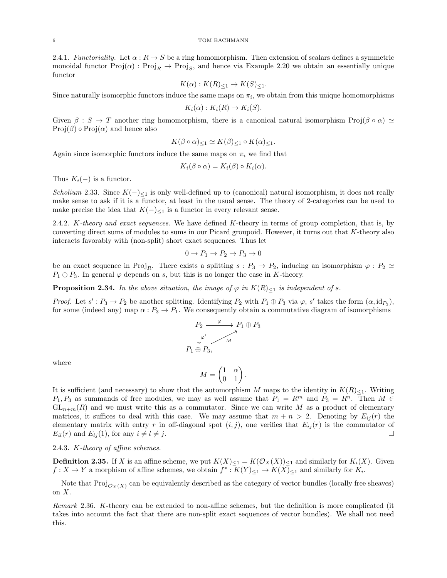2.4.1. Functoriality. Let  $\alpha : R \to S$  be a ring homomorphism. Then extension of scalars defines a symmetric monoidal functor  $\text{Proj}(\alpha) : \text{Proj}_R \to \text{Proj}_S$ , and hence via Example [2.20](#page-3-3) we obtain an essentially unique functor

$$
K(\alpha) : K(R)_{\leq 1} \to K(S)_{\leq 1}.
$$

Since naturally isomorphic functors induce the same maps on  $\pi_i$ , we obtain from this unique homomorphisms

$$
K_i(\alpha) : K_i(R) \to K_i(S).
$$

Given  $\beta : S \to T$  another ring homomorphism, there is a canonical natural isomorphism  $\text{Proj}(\beta \circ \alpha) \simeq$  $Proj(\beta) \circ Proj(\alpha)$  and hence also

$$
K(\beta \circ \alpha)_{\leq 1} \simeq K(\beta)_{\leq 1} \circ K(\alpha)_{\leq 1}.
$$

Again since isomorphic functors induce the same maps on  $\pi_i$  we find that

$$
K_i(\beta \circ \alpha) = K_i(\beta) \circ K_i(\alpha).
$$

Thus  $K_i(-)$  is a functor.

Scholium 2.33. Since  $K(-)_{\leq 1}$  is only well-defined up to (canonical) natural isomorphism, it does not really make sense to ask if it is a functor, at least in the usual sense. The theory of 2-categories can be used to make precise the idea that  $K(-)_{\leq 1}$  is a functor in every relevant sense.

2.4.2. K-theory and exact sequences. We have defined K-theory in terms of group completion, that is, by converting direct sums of modules to sums in our Picard groupoid. However, it turns out that K-theory also interacts favorably with (non-split) short exact sequences. Thus let

$$
0 \to P_1 \to P_2 \to P_3 \to 0
$$

be an exact sequence in Proj<sub>R</sub>. There exists a splitting  $s : P_3 \to P_2$ , inducing an isomorphism  $\varphi : P_2 \simeq$  $P_1 \oplus P_3$ . In general  $\varphi$  depends on s, but this is no longer the case in K-theory.

<span id="page-5-0"></span>**Proposition 2.34.** In the above situation, the image of  $\varphi$  in  $K(R)<sub>1</sub>$  is independent of s.

Proof. Let  $s': P_3 \to P_2$  be another splitting. Identifying  $P_2$  with  $P_1 \oplus P_3$  via  $\varphi$ , s' takes the form  $(\alpha, id_{P_3})$ , for some (indeed any) map  $\alpha: P_3 \to P_1$ . We consequently obtain a commutative diagram of isomorphisms

$$
P_2 \xrightarrow{\varphi} P_1 \oplus P_3
$$
  
\n
$$
\downarrow \varphi' \qquad M
$$
  
\n
$$
P_1 \oplus P_3,
$$

where

$$
M = \begin{pmatrix} 1 & \alpha \\ 0 & 1 \end{pmatrix}.
$$

It is sufficient (and necessary) to show that the automorphism M maps to the identity in  $K(R)_{\leq 1}$ . Writing  $P_1, P_3$  as summands of free modules, we may as well assume that  $P_1 = R^m$  and  $P_3 = R^n$ . Then  $M \in$  $GL_{n+m}(R)$  and we must write this as a commutator. Since we can write M as a product of elementary matrices, it suffices to deal with this case. We may assume that  $m + n > 2$ . Denoting by  $E_{ij}(r)$  the elementary matrix with entry r in off-diagonal spot  $(i, j)$ , one verifies that  $E_{ij}(r)$  is the commutator of  $E_{il}(r)$  and  $E_{lj}(1)$ , for any  $i \neq l \neq j$ .

2.4.3. K-theory of affine schemes.

**Definition 2.35.** If X is an affine scheme, we put  $K(X)_{\leq 1} = K(\mathcal{O}_X(X))_{\leq 1}$  and similarly for  $K_i(X)$ . Given  $f: X \to Y$  a morphism of affine schemes, we obtain  $f^* : K(Y)_{\leq 1} \to K(X)_{\leq 1}$  and similarly for  $K_i$ .

Note that  $\text{Proj}_{\mathcal{O}_X(X)}$  can be equivalently described as the category of vector bundles (locally free sheaves) on  $X$ .

Remark 2.36. K-theory can be extended to non-affine schemes, but the definition is more complicated (it takes into account the fact that there are non-split exact sequences of vector bundles). We shall not need this.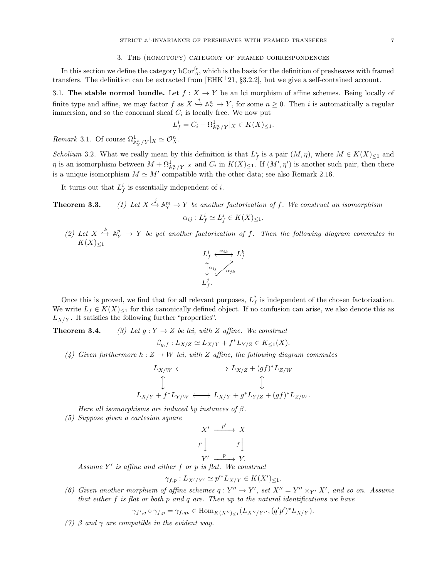#### 3. The (homotopy) category of framed correspondences

<span id="page-6-0"></span>In this section we define the category  $\mathrm{hCor}^{\text{fr}}_A$ , which is the basis for the definition of presheaves with framed transfers. The definition can be extracted from  $[EHK+21, §3.2.2]$  $[EHK+21, §3.2.2]$ , but we give a self-contained account.

3.1. The stable normal bundle. Let  $f : X \to Y$  be an lci morphism of affine schemes. Being locally of finite type and affine, we may factor  $f$  as  $X \stackrel{i}{\hookrightarrow} \mathbb{A}^n_Y \to Y$ , for some  $n \geq 0$ . Then i is automatically a regular immersion, and so the conormal sheaf  $C_i$  is locally free. We now put

$$
L_f^i = C_i - \Omega^1_{\mathbb{A}_Y^n/Y}|_X \in K(X)_{\leq 1}.
$$

Remark 3.1. Of course  $\Omega^1_{\mathbb{A}^n_Y/Y}|_X \simeq \mathcal{O}_X^n$ .

Scholium 3.2. What we really mean by this definition is that  $L_f^i$  is a pair  $(M, \eta)$ , where  $M \in K(X)_{\leq 1}$  and  $\eta$  is an isomorphism between  $M + \Omega^1_{\mathbb{A}^n_Y/Y}|_X$  and  $C_i$  in  $K(X)_{\leq 1}$ . If  $(M', \eta')$  is another such pair, then there is a unique isomorphism  $M \simeq M'$  compatible with the other data; see also Remark [2.16.](#page-3-4)

It turns out that  $L_f^i$  is essentially independent of *i*.

Theorem 3.3.  $\stackrel{j}{\hookrightarrow} \mathbb{A}^m_Y \to Y$  be another factorization of f. We construct an isomorphism  $\alpha_{ij}: L_f^i \simeq L_f^j \in K(X)_{\leq 1}.$ 

(2) Let  $X \stackrel{k}{\hookrightarrow} \mathbb{A}^p_Y \to Y$  be yet another factorization of f. Then the following diagram commutes in  $K(X)_{\leq 1}$ 



Once this is proved, we find that for all relevant purposes,  $L_f^?$  is independent of the chosen factorization. We write  $L_f \in K(X)_{\leq 1}$  for this canonically defined object. If no confusion can arise, we also denote this as  $L_{X/Y}$ . It satisfies the following further "properties".

**Theorem 3.4.** (3) Let  $g: Y \to Z$  be lci, with Z affine. We construct

$$
\beta_{g,f}: L_{X/Z} \simeq L_{X/Y} + f^* L_{Y/Z} \in K_{\leq 1}(X).
$$

(4) Given furthermore  $h: Z \to W$  lci, with Z affine, the following diagram commutes

$$
L_{X/W} \longleftrightarrow L_{X/Z} + (gf)^* L_{Z/W}
$$
  
\n
$$
\updownarrow
$$
  
\n
$$
L_{X/Y} + f^* L_{Y/W} \longleftrightarrow L_{X/Y} + g^* L_{Y/Z} + (gf)^* L_{Z/W}.
$$

Here all isomorphisms are induced by instances of  $\beta$ .

(5) Suppose given a cartesian square

$$
X' \xrightarrow{p'} X
$$
  

$$
f' \downarrow \qquad f \downarrow
$$
  

$$
Y' \xrightarrow{p} Y.
$$

Assume  $Y'$  is affine and either  $f$  or  $p$  is flat. We construct

$$
\gamma_{f,p}: L_{X'/Y'} \simeq p'^* L_{X/Y} \in K(X')_{\leq 1}.
$$

(6) Given another morphism of affine schemes  $q: Y'' \to Y'$ , set  $X'' = Y'' \times_{Y'} X'$ , and so on. Assume that either  $f$  is flat or both  $p$  and  $q$  are. Then up to the natural identifications we have

$$
\gamma_{f',q} \circ \gamma_{f,p} = \gamma_{f,qp} \in \text{Hom}_{K(X'')_{\leq 1}}(L_{X''/Y''}, (q'p')^*L_{X/Y}).
$$

(7) β and  $\gamma$  are compatible in the evident way.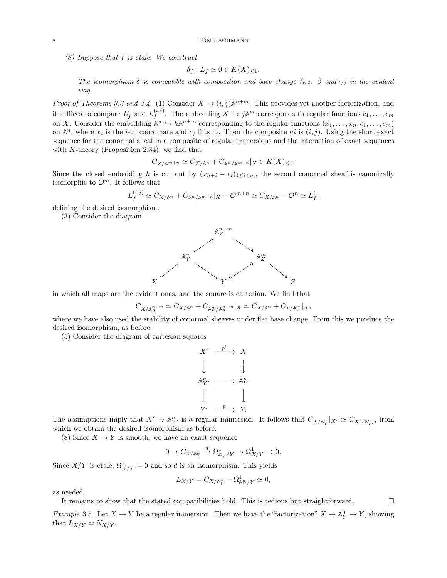(8) Suppose that f is étale. We construct

$$
\delta_f: L_f \simeq 0 \in K(X)_{\leq 1}.
$$

The isomorphism  $\delta$  is compatible with composition and base change (i.e.  $\beta$  and  $\gamma$ ) in the evident way.

*Proof of Theorems [3.3](#page-0-2) and [3.4.](#page-0-2)* (1) Consider  $X \hookrightarrow (i, j) \mathbb{A}^{n+m}$ . This provides yet another factorization, and it suffices to compare  $L_f^i$  and  $L_f^{(i,j)}$  $\bar{c}_1^{(i,j)}$ . The embedding  $X \hookrightarrow j\mathbb{A}^m$  corresponds to regular functions  $\bar{c}_1, \ldots, \bar{c}_m$ on X. Consider the embedding  $A^n \hookrightarrow hA^{n+m}$  corresponding to the regular functions  $(x_1, \ldots, x_n, c_1, \ldots, c_m)$ on  $\mathbb{A}^n$ , where  $x_i$  is the *i*-th coordinate and  $c_j$  lifts  $\bar{c}_j$ . Then the composite hi is  $(i, j)$ . Using the short exact sequence for the conormal sheaf in a composite of regular immersions and the interaction of exact sequences with  $K$ -theory (Proposition [2.34\)](#page-5-0), we find that

$$
C_{X/\mathbb{A}^{m+n}} \simeq C_{X/\mathbb{A}^n} + C_{\mathbb{A}^n/\mathbb{A}^{m+n}}|_X \in K(X)_{\leq 1}.
$$

Since the closed embedding h is cut out by  $(x_{n+i} - c_i)_{1 \leq i \leq m}$ , the second conormal sheaf is canonically isomorphic to  $\mathcal{O}^m$ . It follows that

$$
L_f^{(i,j)} \simeq C_{X/\mathbb{A}^n} + C_{\mathbb{A}^n/\mathbb{A}^{m+n}}|_X - \mathcal{O}^{m+n} \simeq C_{X/\mathbb{A}^n} - \mathcal{O}^n \simeq L_f^i,
$$

defining the desired isomorphism.

(3) Consider the diagram



in which all maps are the evident ones, and the square is cartesian. We find that

$$
C_{X/\mathbb A_Z^{n+m}} \simeq C_{X/\mathbb A^n} + C_{\mathbb A_Y^n/\mathbb A_Z^{n+m}}|_X \simeq C_{X/\mathbb A^n} + C_{Y/\mathbb A_Z^m}|_X,
$$

where we have also used the stability of conormal sheaves under flat base change. From this we produce the desired isomorphism, as before.

(5) Consider the diagram of cartesian squares

$$
X' \xrightarrow{p'} X
$$
  
\n
$$
\downarrow \qquad \qquad \downarrow
$$
  
\n
$$
\mathbb{A}_{Y'}^n \xrightarrow{p} \mathbb{A}_Y^n
$$
  
\n
$$
Y' \xrightarrow{p} Y.
$$

The assumptions imply that  $X' \to \mathbb{A}^n_{Y'}$  is a regular immersion. It follows that  $C_{X/\mathbb{A}^n_Y}|_{X'} \simeq C_{X'/\mathbb{A}^n_{Y'}}$ , from which we obtain the desired isomorphism as before.

(8) Since  $X \to Y$  is smooth, we have an exact sequence

$$
0 \to C_{X/\mathbb{A}^n_Y} \xrightarrow{d} \Omega^1_{\mathbb{A}^n_Y/Y} \to \Omega^1_{X/Y} \to 0.
$$

Since  $X/Y$  is étale,  $\Omega^1_{X/Y} = 0$  and so d is an isomorphism. This yields

$$
L_{X/Y} = C_{X/\mathbb{A}_Y^n} - \Omega^1_{\mathbb{A}_Y^n/Y} \simeq 0,
$$

as needed.

It remains to show that the stated compatibilities hold. This is tedious but straightforward.  $\Box$ 

Example 3.5. Let  $X \to Y$  be a regular immersion. Then we have the "factorization"  $X \to \mathbb{A}^0_Y \to Y$ , showing that  $L_{X/Y} \simeq N_{X/Y}$ .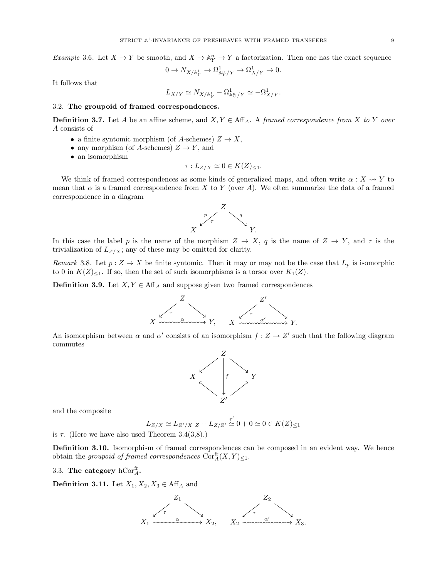Example 3.6. Let  $X \to Y$  be smooth, and  $X \to \mathbb{A}^n_Y \to Y$  a factorization. Then one has the exact sequence

$$
0 \to N_{X/\mathbb{A}^1_Y} \to \Omega^1_{\mathbb{A}^n_Y/Y} \to \Omega^1_{X/Y} \to 0.
$$

It follows that

$$
L_{X/Y} \simeq N_{X/\mathbb{A}^1_Y} - \Omega^1_{\mathbb{A}^n_Y/Y} \simeq -\Omega^1_{X/Y}.
$$

### 3.2. The groupoid of framed correspondences.

**Definition 3.7.** Let A be an affine scheme, and  $X, Y \in \text{Aff}_A$ . A framed correspondence from X to Y over A consists of

- a finite syntomic morphism (of A-schemes)  $Z \to X$ ,
- any morphism (of A-schemes)  $Z \to Y$ , and
- an isomorphism

$$
\tau: L_{Z/X} \simeq 0 \in K(Z)_{\leq 1}.
$$

We think of framed correspondences as some kinds of generalized maps, and often write  $\alpha: X \rightsquigarrow Y$  to mean that  $\alpha$  is a framed correspondence from X to Y (over A). We often summarize the data of a framed correspondence in a diagram



In this case the label p is the name of the morphism  $Z \to X$ , q is the name of  $Z \to Y$ , and  $\tau$  is the trivialization of  $L_{Z/X}$ ; any of these may be omitted for clarity.

Remark 3.8. Let  $p: Z \to X$  be finite syntomic. Then it may or may not be the case that  $L_p$  is isomorphic to 0 in  $K(Z)_{\leq 1}$ . If so, then the set of such isomorphisms is a torsor over  $K_1(Z)$ .

**Definition 3.9.** Let  $X, Y \in \text{Aff}_{A}$  and suppose given two framed correspondences



An isomorphism between  $\alpha$  and  $\alpha'$  consists of an isomorphism  $f: Z \to Z'$  such that the following diagram commutes



and the composite

$$
L_{Z/X} \simeq L_{Z'/X}|_Z + L_{Z/Z'} \stackrel{\tau'}{\simeq} 0 + 0 \simeq 0 \in K(Z)_{\leq 1}
$$

is  $\tau$ . (Here we have also used Theorem [3.4\(](#page-0-2)3,8).)

Definition 3.10. Isomorphism of framed correspondences can be composed in an evident way. We hence obtain the groupoid of framed correspondences  $\text{Cor}^{\text{fr}}_{A}(X, Y)_{\leq 1}$ .

3.3. The category  $\mathrm{hCor}^{\mathrm{fr}}_{A}$ .

**Definition 3.11.** Let  $X_1, X_2, X_3 \in \text{Aff}_A$  and

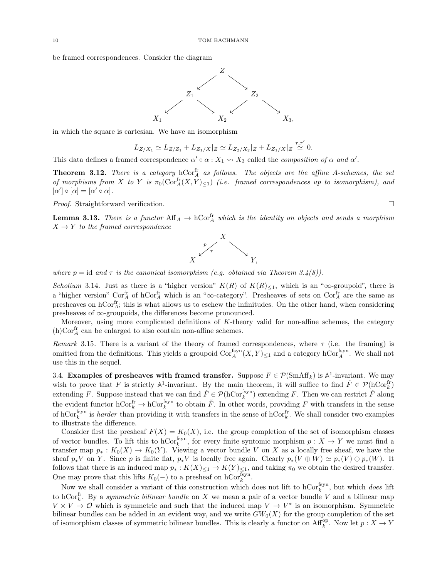be framed correspondences. Consider the diagram



in which the square is cartesian. We have an isomorphism

$$
L_{Z/X_1} \simeq L_{Z/Z_1} + L_{Z_1/X} |_{Z} \simeq L_{Z_2/X_2} |_{Z} + L_{Z_1/X} |_{Z} \stackrel{\tau, \tau'}{\simeq} 0.
$$

 $\overline{a}$ 

This data defines a framed correspondence  $\alpha' \circ \alpha : X_1 \leadsto X_3$  called the *composition of*  $\alpha$  and  $\alpha'$ .

**Theorem 3.12.** There is a category  $hCor_A^{\text{fr}}$  as follows. The objects are the affine A-schemes, the set of morphisms from X to Y is  $\pi_0(\mathrm{Cor}^{\mathrm{fr}}_A(X,Y)_{\leq 1})$  (i.e. framed correspondences up to isomorphism), and  $[\alpha'] \circ [\alpha] = [\alpha' \circ \alpha].$ 

Proof. Straightforward verification.

<span id="page-9-0"></span>**Lemma 3.13.** There is a functor  $\text{Aff}_A \to \text{hCor}_A^{\text{fr}}$  which is the identity on objects and sends a morphism  $X \rightarrow Y$  to the framed correspondence



where  $p = id$  and  $\tau$  is the canonical isomorphism (e.g. obtained via Theorem [3.4\(](#page-0-2)8)).

Scholium 3.14. Just as there is a "higher version"  $K(R)$  of  $K(R)_{\leq 1}$ , which is an " $\infty$ -groupoid", there is a "higher version"  $Cor_A^{\text{fr}}$  of hCor $_A^{\text{fr}}$  which is an " $\infty$ -category". Presheaves of sets on Cor $_A^{\text{fr}}$  are the same as presheaves on  $hCor_A^{\text{fr}}$ ; this is what allows us to eschew the infinitudes. On the other hand, when considering presheaves of ∞-groupoids, the differences become pronounced.

Moreover, using more complicated definitions of K-theory valid for non-affine schemes, the category (h)Cor $_A^{\mbox{\scriptsize{\rm fr}}}$  can be enlarged to also contain non-affine schemes.

Remark 3.15. There is a variant of the theory of framed correspondences, where  $\tau$  (i.e. the framing) is omitted from the definitions. This yields a groupoid  $Cor_A^{fsyn}(X, Y)_{\leq 1}$  and a category  $hCor_A^{fsyn}$ . We shall not use this in the sequel.

3.4. **Examples of presheaves with framed transfer.** Suppose  $F \in \mathcal{P}(\text{SmAff}_k)$  is  $\mathbb{A}^1$ -invariant. We may wish to prove that F is strictly  $\mathbb{A}^1$ -invariant. By the main theorem, it will suffice to find  $\tilde{F} \in \mathcal{P}(\mathrm{hCor}_k^{\mathrm{fr}})$ extending F. Suppose instead that we can find  $\hat{F} \in \mathcal{P}(\text{hCor}_k^{\text{fsyn}})$  extending F. Then we can restrict  $\hat{F}$  along the evident functor  $hCor_k^{\text{fr}} \to hCor_k^{\text{fsyn}}$  to obtain  $\tilde{F}$ . In other words, providing F with transfers in the sense of  $hCor_k^{\text{fsyn}}$  is *harder* than providing it with transfers in the sense of  $hCor_k^{\text{fr}}$ . We shall consider two examples to illustrate the difference.

Consider first the presheaf  $F(X) = K_0(X)$ , i.e. the group completion of the set of isomorphism classes of vector bundles. To lift this to hCor<sup>fsyn</sup>, for every finite syntomic morphism  $p: X \to Y$  we must find a transfer map  $p_* : K_0(X) \to K_0(Y)$ . Viewing a vector bundle V on X as a locally free sheaf, we have the sheaf  $p_*V$  on Y. Since p is finite flat,  $p_*V$  is locally free again. Clearly  $p_*(V \oplus W) \simeq p_*(V) \oplus p_*(W)$ . It follows that there is an induced map  $p_* : K(X)_{\leq 1} \to K(Y)_{\leq 1}$ , and taking  $\pi_0$  we obtain the desired transfer. One may prove that this lifts  $K_0(-)$  to a presheaf on hCor<sup>fsyn</sup>.

Now we shall consider a variant of this construction which does not lift to  $hCor_k^{fsyn}$ , but which *does* lift to hCor<sup>fr</sup>. By a *symmetric bilinear bundle* on X we mean a pair of a vector bundle V and a bilinear map  $V \times V \to \mathcal{O}$  which is symmetric and such that the induced map  $V \to V^*$  is an isomorphism. Symmetric bilinear bundles can be added in an evident way, and we write  $GW_0(X)$  for the group completion of the set of isomorphism classes of symmetric bilinear bundles. This is clearly a functor on  $\mathrm{Aff}_k^{\mathrm{op}}$ . Now let  $p: X \to Y$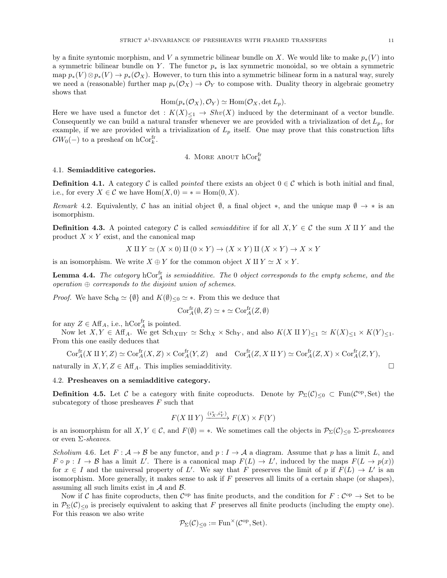by a finite syntomic morphism, and V a symmetric bilinear bundle on X. We would like to make  $p_*(V)$  into a symmetric bilinear bundle on Y. The functor  $p_*$  is lax symmetric monoidal, so we obtain a symmetric map  $p_*(V) \otimes p_*(V) \to p_*(\mathcal{O}_X)$ . However, to turn this into a symmetric bilinear form in a natural way, surely we need a (reasonable) further map  $p_*(\mathcal{O}_X) \to \mathcal{O}_Y$  to compose with. Duality theory in algebraic geometry shows that

$$
\text{Hom}(p_*(\mathcal{O}_X), \mathcal{O}_Y) \simeq \text{Hom}(\mathcal{O}_X, \det L_p).
$$

Here we have used a functor det :  $K(X)_{\leq 1} \to Shv(X)$  induced by the determinant of a vector bundle. Consequently we can build a natural transfer whenever we are provided with a trivialization of det  $L_p$ , for example, if we are provided with a trivialization of  $L_p$  itself. One may prove that this construction lifts  $GW_0(-)$  to a presheaf on hCor $_{k}^{\text{fr}}$ .

4. MORE ABOUT 
$$
hCor_k^{\text{fr}}
$$

### <span id="page-10-0"></span>4.1. Semiadditive categories.

**Definition 4.1.** A category C is called *pointed* there exists an object  $0 \in \mathcal{C}$  which is both initial and final, i.e., for every  $X \in \mathcal{C}$  we have  $\text{Hom}(X, 0) = * = \text{Hom}(0, X)$ .

Remark 4.2. Equivalently, C has an initial object  $\emptyset$ , a final object \*, and the unique map  $\emptyset \to *$  is an isomorphism.

**Definition 4.3.** A pointed category C is called *semiadditive* if for all  $X, Y \in \mathcal{C}$  the sum X II Y and the product  $X \times Y$  exist, and the canonical map

$$
X \amalg Y \simeq (X \times 0) \amalg (0 \times Y) \to (X \times Y) \amalg (X \times Y) \to X \times Y
$$

is an isomorphism. We write  $X \oplus Y$  for the common object  $X \amalg Y \simeq X \times Y$ .

**Lemma 4.4.** The category  $hCor_A^{\text{fr}}$  is semiadditive. The 0 object corresponds to the empty scheme, and the  $operation \oplus corresponds to the disjoint union of schemes.$ 

*Proof.* We have  $Sch_{\emptyset} \simeq {\emptyset}$  and  $K(\emptyset)_{\leq 0} \simeq *$ . From this we deduce that

$$
\mathrm{Cor}^{\mathrm{fr}}_A(\emptyset,Z) \simeq * \simeq \mathrm{Cor}^{\mathrm{fr}}_A(Z,\emptyset)
$$

for any  $Z \in \text{Aff}_A$ , i.e., hCor $_A^{\text{fr}}$  is pointed.

Now let  $X, Y \in \text{Aff}_{A}$ . We get  $\text{Sch}_{X \amalg Y} \simeq \text{Sch}_X \times \text{Sch}_Y$ , and also  $K(X \amalg Y)_{\leq 1} \simeq K(X)_{\leq 1} \times K(Y)_{\leq 1}$ . From this one easily deduces that

$$
\mathrm{Cor}^{\mathrm{fr}}_A(X \amalg Y, Z) \simeq \mathrm{Cor}^{\mathrm{fr}}_A(X, Z) \times \mathrm{Cor}^{\mathrm{fr}}_A(Y, Z) \quad \text{and} \quad \mathrm{Cor}^{\mathrm{fr}}_A(Z, X \amalg Y) \simeq \mathrm{Cor}^{\mathrm{fr}}_A(Z, X) \times \mathrm{Cor}^{\mathrm{fr}}_A(Z, Y),
$$

naturally in  $X, Y, Z \in \text{Aff } A$ . This implies semiadditivity.

## 4.2. Presheaves on a semiadditive category.

**Definition 4.5.** Let C be a category with finite coproducts. Denote by  $\mathcal{P}_{\Sigma}(\mathcal{C})_{\leq 0} \subset \text{Fun}(\mathcal{C}^{\text{op}}, \text{Set})$  the subcategory of those presheaves  $F$  such that

$$
F(X \amalg Y) \xrightarrow{(i_X^*, i_Y^*)} F(X) \times F(Y)
$$

is an isomorphism for all  $X, Y \in \mathcal{C}$ , and  $F(\emptyset) = *$ . We sometimes call the objects in  $\mathcal{P}_{\Sigma}(\mathcal{C})_{\leq 0}$   $\Sigma$ -presheaves or even  $\Sigma$ -sheaves.

Scholium 4.6. Let  $F: \mathcal{A} \to \mathcal{B}$  be any functor, and  $p: I \to \mathcal{A}$  a diagram. Assume that p has a limit L, and  $F \circ p : I \to \mathcal{B}$  has a limit L'. There is a canonical map  $F(L) \to L'$ , induced by the maps  $F(L \to p(x))$ for  $x \in I$  and the universal property of L'. We say that F preserves the limit of p if  $F(L) \to L'$  is an isomorphism. More generally, it makes sense to ask if  $F$  preserves all limits of a certain shape (or shapes), assuming all such limits exist in  $A$  and  $B$ .

Now if C has finite coproducts, then  $\mathcal{C}^{op}$  has finite products, and the condition for  $F: \mathcal{C}^{op} \to \mathcal{S}$ et to be in  $\mathcal{P}_{\Sigma}(\mathcal{C})_{\leq 0}$  is precisely equivalent to asking that F preserves all finite products (including the empty one). For this reason we also write

$$
\mathcal{P}_{\Sigma}(\mathcal{C})_{\leq 0} := \mathrm{Fun}^{\times}(\mathcal{C}^{\mathrm{op}}, \mathrm{Set}).
$$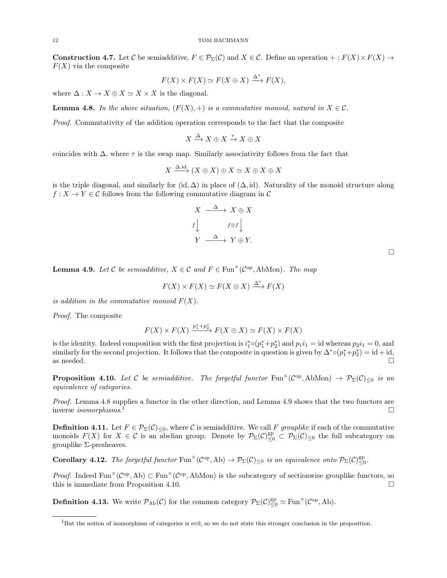**Construction 4.7.** Let C be semiadditive,  $F \in \mathcal{P}_{\Sigma}(\mathcal{C})$  and  $X \in \mathcal{C}$ . Define an operation  $+ : F(X) \times F(X) \rightarrow$  $F(X)$  via the composite

$$
F(X) \times F(X) \simeq F(X \oplus X) \xrightarrow{\Delta^*} F(X),
$$

where  $\Delta: X \to X \oplus X \simeq X \times X$  is the diagonal.

<span id="page-11-0"></span>**Lemma 4.8.** In the above situation,  $(F(X), +)$  is a commutative monoid, natural in  $X \in \mathcal{C}$ .

Proof. Commutativity of the addition operation corresponds to the fact that the composite

$$
X \xrightarrow{\Delta} X \oplus X \xrightarrow{\tau} X \oplus X
$$

coincides with  $\Delta$ , where  $\tau$  is the swap map. Similarly associativity follows from the fact that

$$
X \xrightarrow{\Delta, \mathrm{id}} (X \oplus X) \oplus X \simeq X \oplus X \oplus X
$$

is the triple diagonal, and similarly for (id,  $\Delta$ ) in place of  $(\Delta, id)$ . Naturality of the monoid structure along  $f: X \to Y \in \mathcal{C}$  follows from the following commutative diagram in  $\mathcal{C}$ 

$$
X \xrightarrow{\Delta} X \oplus X
$$
  

$$
f \downarrow \qquad f \oplus f \downarrow
$$
  

$$
Y \xrightarrow{\Delta} Y \oplus Y.
$$

<span id="page-11-1"></span>**Lemma 4.9.** Let C be semiadditive,  $X \in \mathcal{C}$  and  $F \in \text{Fun}^\times(\mathcal{C}^{\text{op}},\text{AbMon})$ . The map

$$
F(X) \times F(X) \simeq F(X \oplus X) \xrightarrow{\Delta^*} F(X)
$$

is addition in the commutative monoid  $F(X)$ .

Proof. The composite

$$
F(X) \times F(X) \xrightarrow{p_1^* + p_2^*} F(X \oplus X) \simeq F(X) \times F(X)
$$

is the identity. Indeed composition with the first projection is  $i_1^* \circ (p_1^* + p_2^*)$  and  $p_1 i_1 = \text{id}$  whereas  $p_2 i_1 = 0$ , and similarly for the second projection. It follows that the composite in question is given by  $\Delta^* \circ (p_1^* + p_2^*) = id + id$ , as needed.  $\square$ 

<span id="page-11-3"></span>**Proposition 4.10.** Let C be semiadditive. The forgetful functor Fun<sup> $\times$ </sup>(C<sup>op</sup>, AbMon)  $\rightarrow$   $\mathcal{P}_{\Sigma}(\mathcal{C})_{\leq 0}$  is an equivalence of categories.

Proof. Lemma [4.8](#page-11-0) supplies a functor in the other direction, and Lemma [4.9](#page-11-1) shows that the two functors are inverse isomorphisms.  $\mathbf{1}$  $\mathbf{1}$  $\mathbf{1}$ 

**Definition 4.11.** Let  $F \in \mathcal{P}_{\Sigma}(\mathcal{C})_{\leq 0}$ , where C is semiadditive. We call F grouplike if each of the commutative monoids  $F(X)$  for  $X \in \mathcal{C}$  is an abelian group. Denote by  $\mathcal{P}_{\Sigma}(\mathcal{C})_{\leq 0}^{\text{gp}} \subset \mathcal{P}_{\Sigma}(\mathcal{C})_{\leq 0}$  the full subcategory on grouplike Σ-presheaves.

**Corollary 4.12.** The forgetful functor  $\text{Fun}^{\times}(\mathcal{C}^{\text{op}}, \text{Ab}) \to \mathcal{P}_{\Sigma}(\mathcal{C})_{\leq 0}$  is an equivalence onto  $\mathcal{P}_{\Sigma}(\mathcal{C})_{\leq 0}^{\text{gp}}$ .

*Proof.* Indeed Fun<sup> $\times$ </sup> ( $C^{op}$ , Ab)  $\subset$  Fun<sup> $\times$ </sup> ( $C^{op}$ , AbMon) is the subcategory of sectionwise grouplike functors, so this is immediate from Proposition [4.10.](#page-11-3)

**Definition 4.13.** We write  $\mathcal{P}_{Ab}(\mathcal{C})$  for the common category  $\mathcal{P}_{\Sigma}(\mathcal{C})_{\leq 0}^{\text{gp}} \simeq \text{Fun}^{\times}(\mathcal{C}^{\text{op}}, \text{Ab}).$ 

<span id="page-11-2"></span><sup>&</sup>lt;sup>1</sup>But the notion of isomorphism of categories is evil, so we do not state this stronger conclusion in the proposition.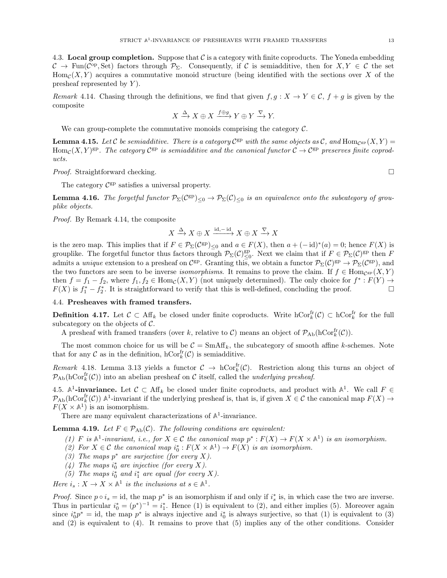4.3. Local group completion. Suppose that  $\mathcal C$  is a category with finite coproducts. The Yoneda embedding  $\mathcal{C} \to \text{Fun}(\mathcal{C}^{op}, \text{Set})$  factors through  $\mathcal{P}_{\Sigma}$ . Consequently, if  $\mathcal{C}$  is semiadditive, then for  $X, Y \in \mathcal{C}$  the set  $\text{Hom}_{\mathcal{C}}(X, Y)$  acquires a commutative monoid structure (being identified with the sections over X of the presheaf represented by  $Y$ ).

<span id="page-12-0"></span>Remark 4.14. Chasing through the definitions, we find that given  $f, g: X \to Y \in \mathcal{C}, f + g$  is given by the composite

$$
X \xrightarrow{\Delta} X \oplus X \xrightarrow{f \oplus g} Y \oplus Y \xrightarrow{\nabla} Y.
$$

We can group-complete the commutative monoids comprising the category  $C$ .

**Lemma 4.15.** Let C be semiadditive. There is a category  $C^{gp}$  with the same objects as C, and  $Hom_{C^{gp}}(X, Y) =$ Hom<sub>C</sub> $(X, Y)$ <sup>gp</sup>. The category  $\mathcal{C}^{gp}$  is semiadditive and the canonical functor  $\mathcal{C} \to \mathcal{C}^{gp}$  preserves finite coproducts.

*Proof.* Straightforward checking.  $\square$ 

The category  $\mathcal{C}^{\text{gp}}$  satisfies a universal property.

<span id="page-12-1"></span>**Lemma 4.16.** The forgetful functor  $\mathcal{P}_{\Sigma}(\mathcal{C}^{\text{gp}})_{\leq 0} \to \mathcal{P}_{\Sigma}(\mathcal{C})_{\leq 0}$  is an equivalence onto the subcategory of grouplike objects.

Proof. By Remark [4.14,](#page-12-0) the composite

$$
X \xrightarrow{\Delta} X \oplus X \xrightarrow{\mathrm{id}, -\mathrm{id}} X \oplus X \xrightarrow{\nabla} X
$$

is the zero map. This implies that if  $F \in \mathcal{P}_{\Sigma}(\mathcal{C}^{\text{gp}})_{\leq 0}$  and  $a \in F(X)$ , then  $a + (-id)^*(a) = 0$ ; hence  $F(X)$  is grouplike. The forgetful functor thus factors through  $\mathcal{P}_{\Sigma}(\mathcal{C})_{\leq 0}^{\text{gp}}$ . Next we claim that if  $F \in \mathcal{P}_{\Sigma}(\mathcal{C})^{\text{gp}}$  then F admits a *unique* extension to a presheaf on  $\mathcal{C}^{\text{gp}}$ . Granting this, we obtain a functor  $\mathcal{P}_{\Sigma}(\mathcal{C})^{\text{gp}} \to \mathcal{P}_{\Sigma}(\mathcal{C}^{\text{gp}})$ , and the two functors are seen to be inverse *isomorphisms*. It remains to prove the claim. If  $f \in Hom_{C^{gp}}(X, Y)$ then  $f = f_1 - f_2$ , where  $f_1, f_2 \in \text{Hom}_{\mathcal{C}}(X, Y)$  (not uniquely determined). The only choice for  $f^* : F(Y) \to$  $F(X)$  is  $f_1^* - f_2^*$ . It is straightforward to verify that this is well-defined, concluding the proof.

#### 4.4. Presheaves with framed transfers.

**Definition 4.17.** Let  $\mathcal{C} \subset Aff_k$  be closed under finite coproducts. Write  $\mathrm{hCor}_k^{\mathrm{fr}}(\mathcal{C}) \subset \mathrm{hCor}_k^{\mathrm{fr}}$  for the full subcategory on the objects of  $\mathcal{C}$ .

A presheaf with framed transfers (over k, relative to C) means an object of  $\mathcal{P}_{\text{Ab}}(\text{hCor}^{\text{fr}}_k(\mathcal{C}))$ .

The most common choice for us will be  $C = \text{SmAff}_k$ , the subcategory of smooth affine k-schemes. Note that for any  $\mathcal C$  as in the definition,  $\mathrm{hCor}^{\mathrm{fr}}_k(\mathcal C)$  is semiadditive.

Remark 4.18. Lemma [3.13](#page-9-0) yields a functor  $C \to \text{hCor}_k^{\text{fr}}(\mathcal{C})$ . Restriction along this turns an object of  $\mathcal{P}_{\mathrm{Ab}}(\mathrm{hCor}^{\mathrm{fr}}_k(\mathcal{C}))$  into an abelian presheaf on C itself, called the *underlying presheaf*.

4.5.  $\mathbb{A}^1$ -invariance. Let  $\mathcal{C} \subset \text{Aff}_k$  be closed under finite coproducts, and product with  $\mathbb{A}^1$ . We call  $F \in$  $\mathcal{P}_{\mathrm{Ab}}(\mathrm{hCor}^{\mathrm{fr}}_k(\mathcal{C}))$   $\mathbb{A}^1$ -invariant if the underlying presheaf is, that is, if given  $X \in \mathcal{C}$  the canonical map  $F(X) \to$  $F(X \times \mathbb{A}^1)$  is an isomorphism.

There are many equivalent characterizations of  $\mathbb{A}^1$ -invariance.

<span id="page-12-2"></span>**Lemma 4.19.** Let  $F \in \mathcal{P}_{\text{Ab}}(\mathcal{C})$ . The following conditions are equivalent:

- (1) F is  $\mathbb{A}^1$ -invariant, i.e., for  $X \in \mathcal{C}$  the canonical map  $p^* : F(X) \to F(X \times \mathbb{A}^1)$  is an isomorphism.
- (2) For  $X \in \mathcal{C}$  the canonical map  $i_0^*: F(X \times \mathbb{A}^1) \to F(X)$  is an isomorphism.
- (3) The maps  $p^*$  are surjective (for every X).
- (4) The maps  $i_0^*$  are injective (for every X).
- (5) The maps  $i_0^*$  and  $i_1^*$  are equal (for every X).

Here  $i_s: X \to X \times \mathbb{A}^1$  is the inclusions at  $s \in \mathbb{A}^1$ .

*Proof.* Since  $p \circ i_s = id$ , the map  $p^*$  is an isomorphism if and only if  $i_s^*$  is, in which case the two are inverse. Thus in particular  $i_0^* = (p^*)^{-1} = i_1^*$ . Hence (1) is equivalent to (2), and either implies (5). Moreover again since  $i_0^* p^* = id$ , the map  $p^*$  is always injective and  $i_0^*$  is always surjective, so that (1) is equivalent to (3) and (2) is equivalent to (4). It remains to prove that (5) implies any of the other conditions. Consider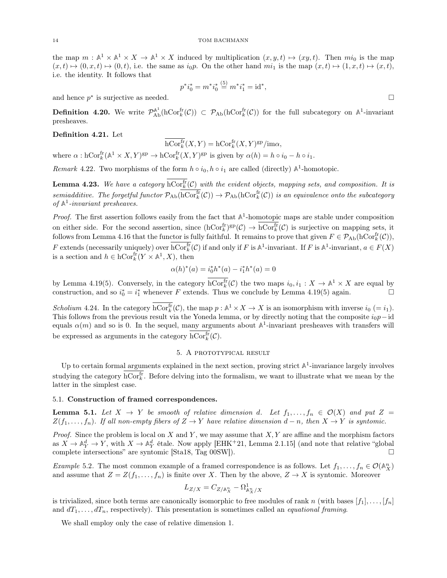the map  $m : \mathbb{A}^1 \times \mathbb{A}^1 \times X \to \mathbb{A}^1 \times X$  induced by multiplication  $(x, y, t) \mapsto (xy, t)$ . Then  $mi_0$  is the map  $(x, t) \mapsto (0, x, t) \mapsto (0, t)$ , i.e. the same as  $i_0p$ . On the other hand  $mi_1$  is the map  $(x, t) \mapsto (1, x, t) \mapsto (x, t)$ , i.e. the identity. It follows that

$$
p^*i_0^* = m^*i_0^* \stackrel{(5)}{=} m^*i_1^* = \mathrm{id}^*,
$$

and hence  $p^*$  is surjective as needed.

**Definition 4.20.** We write  $\mathcal{P}_{\text{Ab}}^{\mathbb{A}^1}(\text{hCor}^{\text{fr}}_k(\mathcal{C})) \subset \mathcal{P}_{\text{Ab}}(\text{hCor}^{\text{fr}}_k(\mathcal{C}))$  for the full subcategory on  $\mathbb{A}^1$ -invariant presheaves.

### Definition 4.21. Let

$$
\operatorname{hCor}^{\operatorname{fr}}_k(X,Y) = \operatorname{hCor}^{\operatorname{fr}}_k(X,Y)^{\operatorname{gp}}/\operatorname{im}\alpha,
$$

where  $\alpha: \mathrm{hCor}_k^{\mathrm{fr}}(\mathbb{A}^1 \times X, Y)^{\mathrm{gp}} \to \mathrm{hCor}_k^{\mathrm{fr}}(X, Y)^{\mathrm{gp}}$  is given by  $\alpha(h) = h \circ i_0 - h \circ i_1$ .

*Remark* 4.22. Two morphisms of the form  $h \circ i_0, h \circ i_1$  are called (directly)  $\mathbb{A}^1$ -homotopic.

<span id="page-13-2"></span>**Lemma 4.23.** We have a category  $hCor_k^{\text{fr}}(\mathcal{C})$  with the evident objects, mapping sets, and composition. It is semiadditive. The forgetful functor  $\mathcal{P}_{\text{Ab}}(\text{hCor}_{k}^{\text{fr}}(\mathcal{C})) \to \mathcal{P}_{\text{Ab}}(\text{hCor}_{k}^{\text{fr}}(\mathcal{C}))$  is an equivalence onto the subcategory of  $A^1$ -invariant presheaves.

*Proof.* The first assertion follows easily from the fact that  $\mathbb{A}^1$ -homotopic maps are stable under composition on either side. For the second assertion, since  $(hCor_k^{\text{fr}})^{\text{gp}}(\mathcal{C}) \to hCor_k^{\text{fr}}(\mathcal{C})$  is surjective on mapping sets, it follows from Lemma [4.16](#page-12-1) that the functor is fully faithful. It remains to prove that given  $F \in \mathcal{P}_{\text{Ab}}(\text{hCor}^{\text{fr}}_k(\mathcal{C}))$ , F extends (necessarily uniquely) over  $\mathrm{hCor}_k^{\mathrm{fr}}(\mathcal{C})$  if and only if F is  $\mathbb{A}^1$ -invariant. If F is  $\mathbb{A}^1$ -invariant,  $a \in F(X)$ is a section and  $h \in \mathrm{hCor}^{\mathrm{fr}}_k(Y \times \mathbb{A}^1, X)$ , then

$$
\alpha(h)^*(a) = i_0^*h^*(a) - i_1^*h^*(a) = 0
$$

by Lemma [4.19\(](#page-12-2)5). Conversely, in the category  $\mathrm{hCor}_k^{\mathrm{fr}}(\mathcal{C})$  the two maps  $i_0, i_1 : X \to \mathbb{A}^1 \times X$  are equal by construction, and so  $i_0^* = i_1^*$  whenever F extends. Thus we conclude by Lemma [4.19\(](#page-12-2)5) again.

Scholium 4.24. In the category  $\mathrm{hCor}_k^{\mathrm{fr}}(\mathcal{C})$ , the map  $p : \mathbb{A}^1 \times X \to X$  is an isomorphism with inverse  $i_0 = i_1$ . This follows from the previous result via the Yoneda lemma, or by directly noting that the composite  $i_0p$ −id equals  $\alpha(m)$  and so is 0. In the sequel, many arguments about  $\mathbb{A}^1$ -invariant presheaves with transfers will be expressed as arguments in the category  $\mathrm{hCor}_k^{\mathrm{fr}}(\mathcal{C})$ .

## 5. A PROTOTYPICAL RESULT

<span id="page-13-0"></span>Up to certain formal arguments explained in the next section, proving strict  $A^1$ -invariance largely involves studying the category  $\mathrm{hCor}^{\mathrm{fr}}_k$ . Before delving into the formalism, we want to illustrate what we mean by the latter in the simplest case.

### 5.1. Construction of framed correspondences.

<span id="page-13-1"></span>**Lemma 5.1.** Let  $X \to Y$  be smooth of relative dimension d. Let  $f_1, \ldots, f_n \in \mathcal{O}(X)$  and put  $Z =$  $Z(f_1, \ldots, f_n)$ . If all non-empty fibers of  $Z \to Y$  have relative dimension  $d - n$ , then  $X \to Y$  is syntomic.

*Proof.* Since the problem is local on X and Y, we may assume that  $X, Y$  are affine and the morphism factors as  $X \to \mathbb{A}^d_Y \to Y$ , with  $X \to \mathbb{A}^d_Y$  étale. Now apply [\[EHK](#page-23-2)<sup>+</sup>21, Lemma 2.1.15] (and note that relative "global") complete intersections" are syntomic [\[Sta18,](#page-24-4) Tag 00SW]).

Example 5.2. The most common example of a framed correspondence is as follows. Let  $f_1, \ldots, f_n \in \mathcal{O}(\mathbb{A}_{X}^{n})$ and assume that  $Z = Z(f_1, \ldots, f_n)$  is finite over X. Then by the above,  $Z \to X$  is syntomic. Moreover

$$
L_{Z/X}=C_{Z/\mathbb{A}_X^n}-\Omega^1_{\mathbb{A}_X^n/X}
$$

is trivialized, since both terms are canonically isomorphic to free modules of rank n (with bases  $[f_1], \ldots, [f_n]$ and  $dT_1, \ldots, dT_n$ , respectively). This presentation is sometimes called an *equational framing*.

We shall employ only the case of relative dimension 1.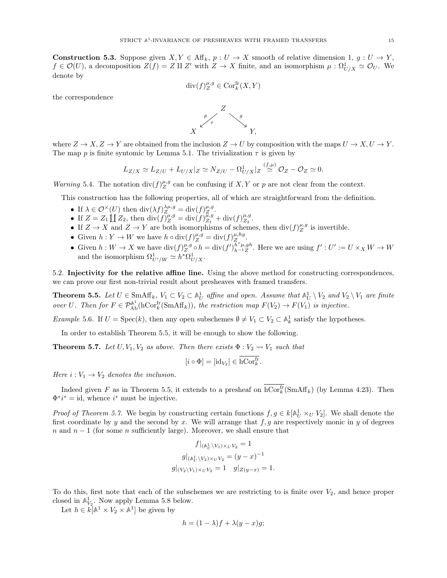<span id="page-14-2"></span>**Construction 5.3.** Suppose given  $X, Y \in \text{Aff}_k$ ,  $p: U \to X$  smooth of relative dimension 1,  $g: U \to Y$ ,  $f \in \mathcal{O}(U)$ , a decomposition  $Z(f) = Z \amalg Z'$  with  $Z \to X$  finite, and an isomorphism  $\mu : \Omega^1_{U/X} \simeq \mathcal{O}_U$ . We denote by

$$
\mathrm{div}(f)_Z^{\mu,g}\in\mathrm{Cor}^{\mathrm{fr}}_k(X,Y)
$$

the correspondence



where  $Z \to X, Z \to Y$  are obtained from the inclusion  $Z \to U$  by composition with the maps  $U \to X, U \to Y$ . The map p is finite syntomic by Lemma [5.1.](#page-13-1) The trivialization  $\tau$  is given by

$$
L_{Z/X} \simeq L_{Z/U} + L_{U/X}|_Z \simeq N_{Z/U} - \Omega_{U/X}^1|_Z \stackrel{(f,\mu)}{\simeq} \mathcal{O}_Z - \mathcal{O}_Z \simeq 0.
$$

*Warning* 5.4. The notation  $\text{div}(f)_{Z}^{\mu,g}$  can be confusing if X, Y or p are not clear from the context.

This construction has the following properties, all of which are straightforward from the definition.

- If  $\lambda \in \mathcal{O}^{\times}(U)$  then  $\mathrm{div}(\lambda f)_Z^{\lambda \mu, g} = \mathrm{div}(f)_Z^{\mu, g}$ .
- If  $Z = Z_1 \coprod Z_2$ , then  $\text{div}(f)_{Z}^{\mu,g} = \text{div}(f)_{Z_1}^{\mu,g} + \text{div}(f)_{Z_2}^{\mu,g}$ .
- If  $Z \to X$  and  $Z \to Y$  are both isomorphisms of schemes, then  $\text{div}(f)_Z^{\mu,g}$  is invertible.
- Given  $h: Y \to W$  we have  $h \circ \text{div}(f)_Z^{\mu,g} = \text{div}(f)_Z^{\mu,hg}$ .
- Given  $h: W \to X$  we have  $\text{div}(f)_{Z}^{\mu,g} \circ h = \text{div}(f')_{h^{-1}Z}^{h^* \mu,gh}$  $h^* \mu, gh \atop h^{-1}Z$ . Here we are using  $f' : U' := U \times_X W \to W$ and the isomorphism  $\Omega^1_{U'/W} \simeq h^* \Omega^1_{U/X}$ .

5.2. Injectivity for the relative affine line. Using the above method for constructing correspondences, we can prove our first non-trivial result about presheaves with framed transfers.

<span id="page-14-0"></span>**Theorem 5.5.** Let  $U \in \text{SmAff}_k$ ,  $V_1 \subset V_2 \subset \mathbb{A}^1_U$  affine and open. Assume that  $\mathbb{A}^1_U \setminus V_2$  and  $V_2 \setminus V_1$  are finite over U. Then for  $F \in \mathcal{P}_{\text{Ab}}^{\mathbb{A}^1}(\text{hCor}^{\text{fr}}_k(\text{SmAff}_k))$ , the restriction map  $F(V_2) \to F(V_1)$  is injective.

Example 5.6. If  $U = \text{Spec}(k)$ , then any open subschemes  $\emptyset \neq V_1 \subset V_2 \subset \mathbb{A}^1_k$  satisfy the hypotheses.

In order to establish Theorem [5.5,](#page-14-0) it will be enough to show the following.

<span id="page-14-1"></span>**Theorem 5.7.** Let  $U, V_1, V_2$  as above. Then there exists  $\Phi : V_2 \rightarrow V_1$  such that

$$
[i \circ \Phi] = [\mathrm{id}_{V_2}] \in \mathrm{hCor}^{\mathrm{fr}}_k.
$$

Here  $i: V_1 \rightarrow V_2$  denotes the inclusion.

Indeed given F as in Theorem [5.5,](#page-14-0) it extends to a presheaf on  $\mathrm{hCor}^{\mathrm{fr}}_k(\mathrm{SmAff}_k)$  (by Lemma [4.23\)](#page-13-2). Then  $\Phi^* i^* = id$ , whence  $i^*$  must be injective.

*Proof of Theorem [5.7.](#page-14-1)* We begin by constructing certain functions  $f, g \in k[\mathbb{A}^1_U \times_U V_2]$ . We shall denote the first coordinate by y and the second by x. We will arrange that  $f, g$  are respectively monic in y of degrees n and  $n-1$  (for some n sufficiently large). Moreover, we shall ensure that

$$
f|_{(\mathbb{A}^1_U \setminus V_1) \times_U V_2} = 1
$$
  

$$
g|_{(\mathbb{A}^1_U \setminus V_2) \times_U V_2} = (y - x)^{-1}
$$
  

$$
g|_{(V_2 \setminus V_1) \times_U V_2} = 1 \quad g|_{Z(y - x)} = 1.
$$

To do this, first note that each of the subschemes we are restricting to is finite over  $V_2$ , and hence proper closed in  $\mathbb{A}_{V_2}^1$ . Now apply Lemma [5.8](#page-15-1) below.

Let  $h \in k[\mathbb{A}^1 \times V_2 \times \mathbb{A}^1]$  be given by

$$
h = (1 - \lambda)f + \lambda(y - x)g;
$$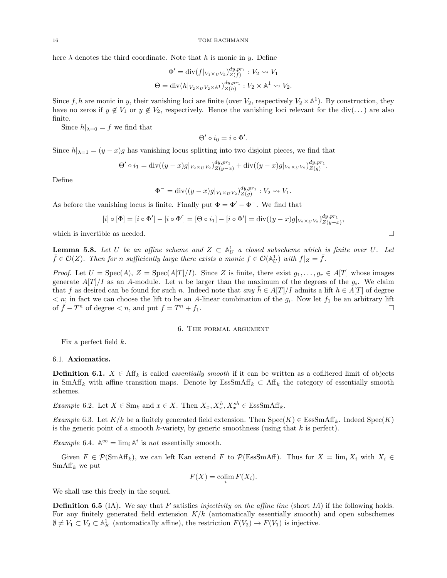here  $\lambda$  denotes the third coordinate. Note that h is monic in y. Define

$$
\Phi' = \text{div}(f|_{V_1 \times_U V_2})_{Z(f)}^{dy, pr_1} : V_2 \rightsquigarrow V_1
$$
  
\n
$$
\Theta = \text{div}(h|_{V_2 \times_U V_2 \times \mathbb{A}^1})_{Z(h)}^{dy, pr_1} : V_2 \times \mathbb{A}^1 \rightsquigarrow V_2.
$$

Since  $f, h$  are monic in y, their vanishing loci are finite (over  $V_2$ , respectively  $V_2 \times \mathbb{A}^1$ ). By construction, they have no zeros if  $y \notin V_1$  or  $y \notin V_2$ , respectively. Hence the vanishing loci relevant for the div(...) are also finite.

Since  $h|_{\lambda=0} = f$  we find that

$$
\Theta' \circ i_0 = i \circ \Phi'.
$$

Since  $h|_{\lambda=1} = (y-x)g$  has vanishing locus splitting into two disjoint pieces, we find that

$$
\Theta' \circ i_1 = \text{div}((y-x)g|_{V_2 \times U} V_2)_{Z(y-x)}^{dy, pr_1} + \text{div}((y-x)g|_{V_2 \times U} V_2)_{Z(g)}^{dy, pr_1}.
$$

Define

$$
\Phi^{-} = \text{div}((y-x)g|_{V_1 \times_U V_2})_{Z(g)}^{dy, pr_1} : V_2 \rightsquigarrow V_1.
$$

As before the vanishing locus is finite. Finally put  $\Phi = \Phi' - \Phi^-$ . We find that

$$
[i] \circ [\Phi] = [i \circ \Phi'] - [i \circ \Phi'] = [\Theta \circ i_1] - [i \circ \Phi'] = \text{div}((y - x)g|_{V_2 \times_U V_2})_{Z(y - x)}^{dy, pr_1},
$$

which is invertible as needed.  $\square$ 

<span id="page-15-1"></span>**Lemma 5.8.** Let U be an affine scheme and  $Z \subset \mathbb{A}^1_U$  a closed subscheme which is finite over U. Let  $\bar{f} \in \mathcal{O}(Z)$ . Then for n sufficiently large there exists a monic  $f \in \mathcal{O}(\mathbb{A}_{U}^{1})$  with  $f|_{Z} = \bar{f}$ .

*Proof.* Let  $U = \text{Spec}(A), Z = \text{Spec}(A[T]/I)$ . Since Z is finite, there exist  $g_1, \ldots, g_r \in A[T]$  whose images generate  $A[T]/I$  as an A-module. Let n be larger than the maximum of the degrees of the  $g_i$ . We claim that f as desired can be found for such n. Indeed note that any  $h \in A[T]/I$  admits a lift  $h \in A[T]$  of degree  $\langle n, n \rangle$  in fact we can choose the lift to be an A-linear combination of the  $g_i$ . Now let  $f_1$  be an arbitrary lift of  $\overline{f} - T^n$  of degree  $\lt n$ , and put  $f = T$  $n + f_1$ .

#### 6. The formal argument

<span id="page-15-0"></span>Fix a perfect field  $k$ .

#### 6.1. Axiomatics.

**Definition 6.1.**  $X \in \text{Aff}_k$  is called *essentially smooth* if it can be written as a cofiltered limit of objects in SmAff<sub>k</sub> with affine transition maps. Denote by EssSmAff<sub>k</sub>  $\subset$  Aff<sub>k</sub> the category of essentially smooth schemes.

*Example* 6.2. Let  $X \in \text{Sm}_k$  and  $x \in X$ . Then  $X_x, X_x^h, X_x^{sh} \in \text{EssSmAff}_k$ .

Example 6.3. Let  $K/k$  be a finitely generated field extension. Then  $Spec(K) \in EssSmAff_k$ . Indeed  $Spec(K)$ is the generic point of a smooth k-variety, by generic smoothness (using that  $k$  is perfect).

Example 6.4.  $\mathbb{A}^{\infty} = \lim_{i} \mathbb{A}^{i}$  is not essentially smooth.

Given  $F \in \mathcal{P}(\text{SmAff}_k)$ , we can left Kan extend F to  $\mathcal{P}(\text{EssSmAff})$ . Thus for  $X = \lim_i X_i$  with  $X_i \in$  $SmAff_k$  we put

$$
F(X) = \operatorname{colim}_{i} F(X_i).
$$

We shall use this freely in the sequel.

**Definition 6.5** (IA). We say that F satisfies *injectivity on the affine line* (short IA) if the following holds. For any finitely generated field extension  $K/k$  (automatically essentially smooth) and open subschemes  $\emptyset \neq V_1 \subset V_2 \subset \mathbb{A}^1_K$  (automatically affine), the restriction  $F(V_2) \to F(V_1)$  is injective.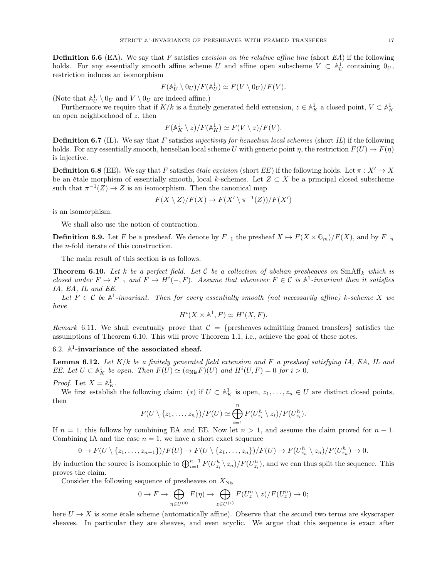**Definition 6.6** (EA). We say that F satisfies excision on the relative affine line (short EA) if the following holds. For any essentially smooth affine scheme U and affine open subscheme  $V \subset \mathbb{A}^1_U$  containing  $0_U$ , restriction induces an isomorphism

$$
F(\mathbb{A}^1_U \setminus 0_U)/F(\mathbb{A}^1_U) \simeq F(V \setminus 0_U)/F(V).
$$

(Note that  $\mathbb{A}^1_U \setminus 0_U$  and  $V \setminus 0_U$  are indeed affine.)

Furthermore we require that if  $K/k$  is a finitely generated field extension,  $z \in \mathbb{A}^1_K$  a closed point,  $V \subset \mathbb{A}^1_K$ an open neighborhood of  $z$ , then

$$
F(\mathbb{A}_{K}^{1} \setminus z)/F(\mathbb{A}_{K}^{1}) \simeq F(V \setminus z)/F(V).
$$

**Definition 6.7** (IL). We say that F satisfies *injectivity for henselian local schemes* (short IL) if the following holds. For any essentially smooth, henselian local scheme U with generic point  $\eta$ , the restriction  $F(U) \to F(\eta)$ is injective.

**Definition 6.8** (EE). We say that F satisfies *étale excision* (short EE) if the following holds. Let  $\pi : X' \to X$ be an étale morphism of essentially smooth, local k-schemes. Let  $Z \subset X$  be a principal closed subscheme such that  $\pi^{-1}(Z) \to Z$  is an isomorphism. Then the canonical map

$$
F(X \setminus Z)/F(X) \to F(X' \setminus \pi^{-1}(Z))/F(X')
$$

is an isomorphism.

We shall also use the notion of contraction.

**Definition 6.9.** Let F be a presheaf. We denote by  $F_{-1}$  the presheaf  $X \mapsto F(X \times \mathbb{G}_m)/F(X)$ , and by  $F_{-n}$ the n-fold iterate of this construction.

The main result of this section is as follows.

<span id="page-16-0"></span>**Theorem 6.10.** Let k be a perfect field. Let C be a collection of abelian presheaves on SmAff<sub>k</sub> which is closed under  $F \mapsto F_{-1}$  and  $F \mapsto H^i(-, F)$ . Assume that whenever  $F \in \mathcal{C}$  is  $\mathbb{A}^1$ -invariant then it satisfies IA, EA, IL and EE.

Let  $F \in \mathcal{C}$  be  $\mathbb{A}^1$ -invariant. Then for every essentially smooth (not necessarily affine) k-scheme X we have

$$
H^i(X \times \mathbb{A}^1, F) \simeq H^i(X, F).
$$

Remark 6.11. We shall eventually prove that  $C = \{p$ resheaves admitting framed transfers $\}$  satisfies the assumptions of Theorem [6.10.](#page-16-0) This will prove Theorem [1.1,](#page-0-1) i.e., achieve the goal of these notes.

# 6.2.  $\mathbb{A}^1$ -invariance of the associated sheaf.

<span id="page-16-1"></span>**Lemma 6.12.** Let  $K/k$  be a finitely generated field extension and F a presheaf satisfying IA, EA, IL and EE. Let  $U \subset \mathbb{A}^1_K$  be open. Then  $F(U) \simeq (a_{Nis}F)(U)$  and  $H^i(U, F) = 0$  for  $i > 0$ .

Proof. Let  $X = \mathbb{A}^1_K$ .

We first establish the following claim: (\*) if  $U \subset \mathbb{A}^1_K$  is open,  $z_1, \ldots, z_n \in U$  are distinct closed points, then

$$
F(U \setminus \{z_1,\ldots,z_n\})/F(U) \simeq \bigoplus_{i=1}^n F(U_{z_i}^h \setminus z_i)/F(U_{z_i}^h).
$$

If  $n = 1$ , this follows by combining EA and EE. Now let  $n > 1$ , and assume the claim proved for  $n - 1$ . Combining IA and the case  $n = 1$ , we have a short exact sequence

$$
0 \to F(U \setminus \{z_1,\ldots,z_{n-1}\})/F(U) \to F(U \setminus \{z_1,\ldots,z_n\})/F(U) \to F(U_{z_n}^h \setminus z_n)/F(U_{z_n}^h) \to 0.
$$

By induction the source is isomorphic to  $\bigoplus_{i=1}^{n-1} F(U_{z_i}^h \setminus z_n)/F(U_{z_i}^h)$ , and we can thus split the sequence. This proves the claim.

Consider the following sequence of presheaves on  $X_{Nis}$ 

$$
0 \to F \to \bigoplus_{\eta \in U^{(0)}} F(\eta) \to \bigoplus_{z \in U^{(1)}} F(U_z^h \setminus z) / F(U_z^h) \to 0;
$$

here  $U \to X$  is some étale scheme (automatically affine). Observe that the second two terms are skyscraper sheaves. In particular they are sheaves, and even acyclic. We argue that this sequence is exact after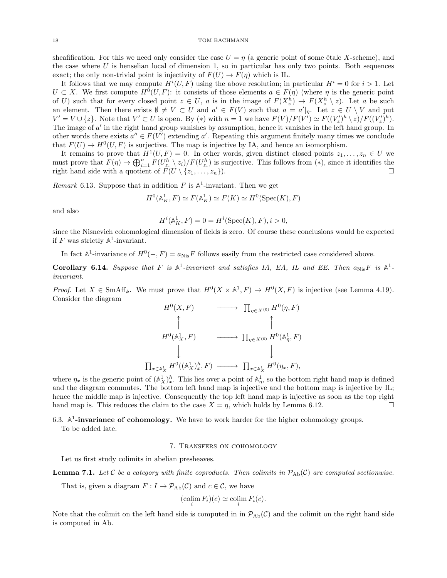sheafification. For this we need only consider the case  $U = \eta$  (a generic point of some étale X-scheme), and the case where  $U$  is henselian local of dimension 1, so in particular has only two points. Both sequences exact; the only non-trivial point is injectivity of  $F(U) \to F(\eta)$  which is IL.

It follows that we may compute  $H^{i}(U, F)$  using the above resolution; in particular  $H^{i} = 0$  for  $i > 1$ . Let  $U \subset X$ . We first compute  $H^0(U, F)$ : it consists of those elements  $a \in F(\eta)$  (where  $\eta$  is the generic point of U) such that for every closed point  $z \in U$ , a is in the image of  $F(X_z^h) \to F(X_z^h \setminus z)$ . Let a be such an element. Then there exists  $\emptyset \neq V \subset U$  and  $a' \in F(V)$  such that  $a = a'|_{\eta}$ . Let  $z \in U \setminus V$  and put  $V' = V \cup \{z\}$ . Note that  $V' \subset U$  is open. By (\*) with  $n = 1$  we have  $F(V)/F(V') \simeq F((V'_z)^h \setminus z)/F((V'_z)^h)$ . The image of  $a'$  in the right hand group vanishes by assumption, hence it vanishes in the left hand group. In other words there exists  $a'' \in F(V')$  extending a'. Repeating this argument finitely many times we conclude that  $F(U) \to H^0(U, F)$  is surjective. The map is injective by IA, and hence an isomorphism.

It remains to prove that  $H^1(U, F) = 0$ . In other words, given distinct closed points  $z_1, \ldots, z_n \in U$  we must prove that  $F(\eta) \to \bigoplus_{i=1}^n F(U_{z_i}^h \setminus z_i)/F(U_{z_i}^h)$  is surjective. This follows from  $(*)$ , since it identifies the right hand side with a quotient of  $F(U \setminus \{z_1, \ldots, z_n\})$ .

*Remark* 6.13. Suppose that in addition  $F$  is  $\mathbb{A}^1$ -invariant. Then we get

$$
H^{0}(\mathbb{A}_{K}^{1}, F) \simeq F(\mathbb{A}_{K}^{1}) \simeq F(K) \simeq H^{0}(\operatorname{Spec}(K), F)
$$

and also

$$
H^{i}(\mathbb{A}_{K}^{1}, F) = 0 = H^{i}(\text{Spec}(K), F), i > 0,
$$

since the Nisnevich cohomological dimension of fields is zero. Of course these conclusions would be expected if  $F$  was strictly  $\mathbb{A}^1$ -invariant.

In fact  $\mathbb{A}^1$ -invariance of  $H^0(-, F) = a_{Nis}F$  follows easily from the restricted case considered above.

Corollary 6.14. Suppose that F is  $A^1$ -invariant and satisfies IA, EA, IL and EE. Then  $a_{Nis}F$  is  $A^1$ invariant.

*Proof.* Let  $X \in \text{SmAff}_k$ . We must prove that  $H^0(X \times \mathbb{A}^1, F) \to H^0(X, F)$  is injective (see Lemma [4.19\)](#page-12-2). Consider the diagram

$$
H^{0}(X, F) \longrightarrow \Pi_{\eta \in X^{(0)}} H^{0}(\eta, F)
$$
  
\n
$$
H^{0}(\mathbb{A}_{X}^{1}, F) \longrightarrow \Pi_{\eta \in X^{(0)}} H^{0}(\mathbb{A}_{\eta}^{1}, F)
$$
  
\n
$$
\downarrow \qquad \qquad \downarrow
$$
  
\n
$$
I_{x \in \mathbb{A}_{X}^{1}} H^{0}((\mathbb{A}_{X}^{1})_{x}^{h}, F) \longrightarrow \Pi_{x \in \mathbb{A}_{X}^{1}} H^{0}(\eta_{x}, F),
$$

where  $\eta_x$  is the generic point of  $(\mathbb{A}_X^1)^h_x$ . This lies over a point of  $\mathbb{A}_\eta^1$ , so the bottom right hand map is defined and the diagram commutes. The bottom left hand map is injective and the bottom map is injective by IL; hence the middle map is injective. Consequently the top left hand map is injective as soon as the top right hand map is. This reduces the claim to the case  $X = \eta$ , which holds by Lemma [6.12.](#page-16-1)

6.3.  $\mathbb{A}^1$ -invariance of cohomology. We have to work harder for the higher cohomology groups.

<span id="page-17-0"></span>To be added late.

### 7. Transfers on cohomology

Let us first study colimits in abelian presheaves.

 $\overline{\phantom{a}}$ 

<span id="page-17-1"></span>**Lemma 7.1.** Let C be a category with finite coproducts. Then colimits in  $\mathcal{P}_{Ab}(\mathcal{C})$  are computed sectionwise.

That is, given a diagram  $F: I \to \mathcal{P}_{Ab}(\mathcal{C})$  and  $c \in \mathcal{C}$ , we have

$$
(\operatorname{colim}_{i} F_{i})(c) \simeq \operatorname{colim}_{i} F_{i}(c).
$$

Note that the colimit on the left hand side is computed in in  $\mathcal{P}_{Ab}(\mathcal{C})$  and the colimit on the right hand side is computed in Ab.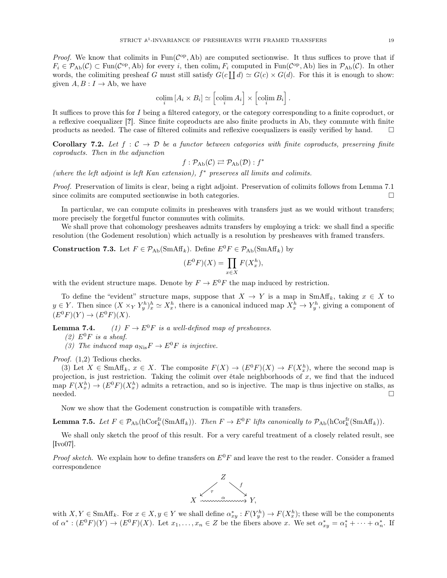*Proof.* We know that colimits in  $Fun(\mathcal{C}^{op},\mathrm{Ab})$  are computed sectionwise. It thus suffices to prove that if  $F_i \in \mathcal{P}_{\text{Ab}}(\mathcal{C}) \subset \text{Fun}(\mathcal{C}^{\text{op}}, \text{Ab})$  for every i, then  $\text{colim}_i F_i$  computed in  $\text{Fun}(\mathcal{C}^{\text{op}}, \text{Ab})$  lies in  $\mathcal{P}_{\text{Ab}}(\mathcal{C})$ . In other words, the colimiting presheaf G must still satisfy  $G(c \coprod d) \simeq G(c) \times G(d)$ . For this it is enough to show: given  $A, B: I \to Ab$ , we have

$$
\operatornamewithlimits{colim}_i \left[A_i \times B_i\right] \simeq \left[\operatornamewithlimits{colim}_i A_i\right] \times \left[\operatornamewithlimits{colim}_i B_i\right].
$$

It suffices to prove this for I being a filtered category, or the category corresponding to a finite coproduct, or a reflexive coequalizer [?]. Since finite coproducts are also finite products in Ab, they commute with finite products as needed. The case of filtered colimits and reflexive coequalizers is easily verified by hand.  $\square$ 

<span id="page-18-1"></span>**Corollary 7.2.** Let  $f : C \to D$  be a functor between categories with finite coproducts, preserving finite coproducts. Then in the adjunction

$$
f: \mathcal{P}_{\mathrm{Ab}}(\mathcal{C}) \rightleftarrows \mathcal{P}_{\mathrm{Ab}}(\mathcal{D}): f^*
$$

(where the left adjoint is left Kan extension),  $f^*$  preserves all limits and colimits.

Proof. Preservation of limits is clear, being a right adjoint. Preservation of colimits follows from Lemma [7.1](#page-17-1) since colimits are computed sectionwise in both categories.

In particular, we can compute colimits in presheaves with transfers just as we would without transfers; more precisely the forgetful functor commutes with colimits.

We shall prove that cohomology presheaves admits transfers by employing a trick: we shall find a specific resolution (the Godement resolution) which actually is a resolution by presheaves with framed transfers.

**Construction 7.3.** Let  $F \in \mathcal{P}_{\text{Ab}}(\text{SmAff}_k)$ . Define  $E^0 F \in \mathcal{P}_{\text{Ab}}(\text{SmAff}_k)$  by

$$
(E^0F)(X) = \prod_{x \in X} F(X_x^h),
$$

with the evident structure maps. Denote by  $F \to E^0 F$  the map induced by restriction.

To define the "evident" structure maps, suppose that  $X \to Y$  is a map in SmAff<sub>k</sub>, taking  $x \in X$  to  $y \in Y$ . Then since  $(X \times_Y Y^h_y)_x^h \simeq X^h_x$ , there is a canonical induced map  $X^h_x \to Y^h_y$ , giving a component of  $(E^{0}F)(Y) \to (E^{0}F)(X).$ 

**Lemma 7.4.** (1)  $F \to E^0 F$  is a well-defined map of presheaves.

- (2)  $E^0F$  is a sheaf.
- (3) The induced map  $a_{\text{Nis}}F \to E^0F$  is injective.

Proof. (1,2) Tedious checks.

(3) Let  $X \in \text{SmAff}_k$ ,  $x \in X$ . The composite  $F(X) \to (E^0F)(X) \to F(X_x^h)$ , where the second map is projection, is just restriction. Taking the colimit over étale neighborhoods of  $x$ , we find that the induced map  $F(X_x^h) \to (E^0 F)(X_x^h)$  admits a retraction, and so is injective. The map is thus injective on stalks, as  $\Box$ 

Now we show that the Godement construction is compatible with transfers.

<span id="page-18-0"></span>**Lemma 7.5.** Let  $F \in \mathcal{P}_{\text{Ab}}(\text{hCor}_{k}^{\text{fr}}(\text{SmAff}_{k}))$ . Then  $F \to E^{0}F$  lifts canonically to  $\mathcal{P}_{\text{Ab}}(\text{hCor}_{k}^{\text{fr}}(\text{SmAff}_{k}))$ .

We shall only sketch the proof of this result. For a very careful treatment of a closely related result, see [\[Ivo07\]](#page-23-11).

*Proof sketch.* We explain how to define transfers on  $E^{0}F$  and leave the rest to the reader. Consider a framed correspondence



with  $X, Y \in \text{SmAff}_k$ . For  $x \in X, y \in Y$  we shall define  $\alpha_{xy}^* : F(Y_y^h) \to F(X_x^h)$ ; these will be the components of  $\alpha^*: (E^0 F)(Y) \to (E^0 F)(X)$ . Let  $x_1, \ldots, x_n \in Z$  be the fibers above x. We set  $\alpha^*_{xy} = \alpha^*_1 + \cdots + \alpha^*_n$ . If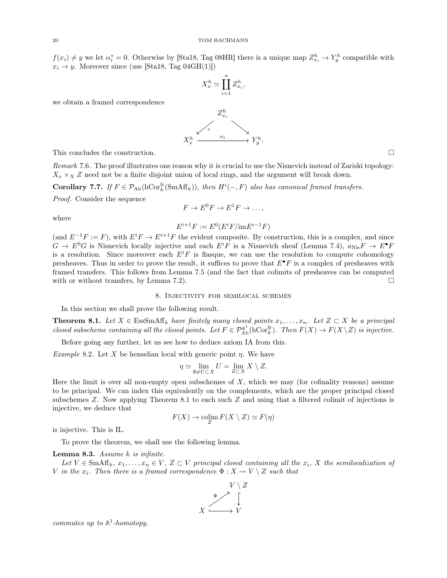$f(x_i) \neq y$  we let  $\alpha_i^* = 0$ . Otherwise by [\[Sta18,](#page-24-4) Tag 08HR] there is a unique map  $Z_{x_i}^h \to Y_y^h$  compatible with  $x_i \rightarrow y$ . Moreover since (use [\[Sta18,](#page-24-4) Tag 04GH(1)])

$$
X_x^h \simeq \coprod_{i=1}^n Z_{x_i}^h,
$$

we obtain a framed correspondence



This concludes the construction.  $\Box$ 

Remark 7.6. The proof illustrates one reason why it is crucial to use the Nisnevich instead of Zariski topology:  $X_x \times_X Z$  need not be a finite disjoint union of local rings, and the argument will break down.

**Corollary 7.7.** If  $F \in \mathcal{P}_{\text{Ab}}(\text{hCor}_{k}^{\text{fr}}(\text{SmAff}_{k}))$ , then  $H^{i}(-, F)$  also has canonical framed transfers.

Proof. Consider the sequence

$$
F \to E^0 F \to E^1 F \to \dots,
$$

where

$$
E^{i+1}F := E^0(E^iF/ \mathrm{im} E^{i-1}F)
$$

(and  $E^{-1}F := F$ ), with  $E^{i}F \to E^{i+1}F$  the evident composite. By construction, this is a complex, and since  $G \to E^0G$  is Nisnevich locally injective and each  $E^iF$  is a Nisnevich sheaf (Lemma [7.4\)](#page-0-2),  $a_{\text{Nis}}F \to E^{\bullet}F$ is a resolution. Since moreover each  $E^iF$  is flasque, we can use the resolution to compute cohomology presheaves. Thus in order to prove the result, it suffices to prove that  $E^{\bullet}F$  is a complex of presheaves with framed transfers. This follows from Lemma [7.5](#page-18-0) (and the fact that colimits of presheaves can be computed with or without transfers, by Lemma [7.2\)](#page-18-1).  $\Box$ 

#### 8. Injectivity for semilocal schemes

<span id="page-19-0"></span>In this section we shall prove the following result.

<span id="page-19-1"></span>**Theorem 8.1.** Let  $X \in \text{EssSmAff}_k$  have finitely many closed points  $x_1, \ldots, x_n$ . Let  $Z \subset X$  be a principal closed subscheme containing all the closed points. Let  $F \in \mathcal{P}_{Ab}^{\mathbb{A}^1}(\text{hCor}_k^{\text{fr}})$ . Then  $F(X) \to F(X \setminus Z)$  is injective.

Before going any further, let us see how to deduce axiom IA from this.

Example 8.2. Let X be henselian local with generic point  $\eta$ . We have

$$
\eta \simeq \lim_{\emptyset \neq U \subset X} U = \lim_{Z \subset X} X \setminus Z.
$$

Here the limit is over all non-empty open subschemes of  $X$ , which we may (for cofinality reasons) assume to be principal. We can index this equivalently on the complements, which are the proper principal closed subschemes Z. Now applying Theorem [8.1](#page-19-1) to each such Z and using that a filtered colimit of injections is injective, we deduce that

$$
F(X) \to \operatorname{colim}_{Z} F(X \setminus Z) \simeq F(\eta)
$$

is injective. This is IL.

To prove the theorem, we shall use the following lemma.

<span id="page-19-2"></span>Lemma 8.3. Assume  $k$  is infinite.

Let  $V \in \text{SmAff}_k$ ,  $x_1, \ldots, x_n \in V$ ,  $Z \subset V$  principal closed containing all the  $x_i$ , X the semilocalization of V in the  $x_i$ . Then there is a framed correspondence  $\Phi: X \rightsquigarrow V \setminus Z$  such that



commutes up to  $A^1$ -homotopy.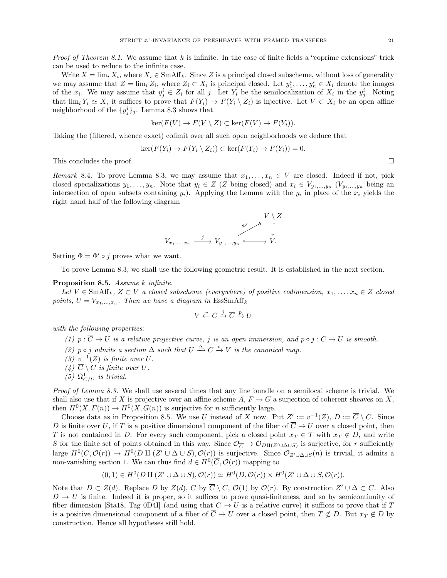*Proof of Theorem [8.1.](#page-19-1)* We assume that k is infinite. In the case of finite fields a "coprime extensions" trick can be used to reduce to the infinite case.

Write  $X = \lim_i X_i$ , where  $X_i \in \text{SmAff}_k$ . Since Z is a principal closed subscheme, without loss of generality we may assume that  $Z = \lim_i Z_i$ , where  $Z_i \subset X_i$  is principal closed. Let  $y_1^i, \ldots, y_n^i \in X_i$  denote the images of the  $x_i$ . We may assume that  $y_j^i \in Z_i$  for all j. Let  $Y_i$  be the semilocalization of  $X_i$  in the  $y_j^i$ . Noting that  $\lim_i Y_i \simeq X$ , it suffices to prove that  $F(Y_i) \to F(Y_i \setminus Z_i)$  is injective. Let  $V \subset X_i$  be an open affine neighborhood of the  $\{y_j^i\}_j$ . Lemma [8.3](#page-19-2) shows that

$$
\ker(F(V) \to F(V \setminus Z) \subset \ker(F(V) \to F(Y_i)).
$$

Taking the (filtered, whence exact) colimit over all such open neighborhoods we deduce that

$$
\ker(F(Y_i) \to F(Y_i \setminus Z_i)) \subset \ker(F(Y_i) \to F(Y_i)) = 0.
$$

This concludes the proof.  $\square$ 

Remark 8.4. To prove Lemma [8.3,](#page-19-2) we may assume that  $x_1, \ldots, x_n \in V$  are closed. Indeed if not, pick closed specializations  $y_1, \ldots, y_n$ . Note that  $y_i \in Z$  (Z being closed) and  $x_i \in V_{y_1, \ldots, y_n}$  ( $V_{y_1, \ldots, y_n}$  being an intersection of open subsets containing  $y_i$ ). Applying the Lemma with the  $y_i$  in place of the  $x_i$  yields the right hand half of the following diagram



Setting  $\Phi = \Phi' \circ i$  proves what we want.

To prove Lemma [8.3,](#page-19-2) we shall use the following geometric result. It is established in the next section.

#### <span id="page-20-0"></span>Proposition 8.5. Assume k infinite.

Let  $V \in \text{SmAff}_k$ ,  $Z \subset V$  a closed subscheme (everywhere) of positive codimension,  $x_1, \ldots, x_n \in Z$  closed points,  $U = V_{x_1,...,x_n}$ . Then we have a diagram in  $\text{EssSmAff}_k$ 

$$
V \xleftarrow{v} C \xrightarrow{j} \overline{C} \xrightarrow{p} U
$$

with the following properties:

(1)  $p : \overline{C} \to U$  is a relative projective curve, j is an open immersion, and  $p \circ j : C \to U$  is smooth.

- (2)  $p \circ j$  admits a section  $\Delta$  such that  $U \stackrel{\Delta}{\rightarrow} C \stackrel{v}{\rightarrow} V$  is the canonical map.
- (3)  $v^{-1}(Z)$  is finite over U.
- (4)  $\overline{C} \setminus C$  is finite over U.
- (5)  $\Omega_{C/U}^1$  is trivial.

Proof of Lemma [8.3.](#page-19-2) We shall use several times that any line bundle on a semilocal scheme is trivial. We shall also use that if X is projective over an affine scheme A,  $F \to G$  a surjection of coherent sheaves on X, then  $H^0(X, F(n)) \to H^0(X, G(n))$  is surjective for *n* sufficiently large.

Choose data as in Proposition [8.5.](#page-20-0) We use U instead of X now. Put  $Z' := v^{-1}(Z)$ ,  $D := \overline{C} \setminus C$ . Since D is finite over U, if T is a positive dimensional component of the fiber of  $\overline{C} \to U$  over a closed point, then T is not contained in D. For every such component, pick a closed point  $x_T \in T$  with  $x_T \notin D$ , and write S for the finite set of points obtained in this way. Since  $\mathcal{O}_{\overline{C}} \to \mathcal{O}_{D\amalg(Z'\cup\Delta\cup S)}$  is surjective, for r sufficiently large  $H^0(\overline{C}, \mathcal{O}(r)) \to H^0(D \amalg (Z' \cup \Delta \cup S), \mathcal{O}(r))$  is surjective. Since  $\mathcal{O}_{Z' \cup \Delta \cup S}(n)$  is trivial, it admits a non-vanishing section 1. We can thus find  $d \in H^0(\overline{C}, \mathcal{O}(r))$  mapping to

$$
(0,1) \in H^0(D\amalg (Z'\cup \Delta \cup S), \mathcal{O}(r)) \simeq H^0(D,\mathcal{O}(r)) \times H^0(Z'\cup \Delta \cup S, \mathcal{O}(r)).
$$

Note that  $D \subset Z(d)$ . Replace D by  $Z(d)$ , C by  $\overline{C} \setminus C$ ,  $\mathcal{O}(1)$  by  $\mathcal{O}(r)$ . By construction  $Z' \cup \Delta \subset C$ . Also  $D \to U$  is finite. Indeed it is proper, so it suffices to prove quasi-finiteness, and so by semicontinuity of fiber dimension [\[Sta18,](#page-24-4) Tag 0D4I] (and using that  $\overline{C} \to U$  is a relative curve) it suffices to prove that if T is a positive dimensional component of a fiber of  $\overline{C} \to U$  over a closed point, then  $T \not\subset D$ . But  $x_T \notin D$  by construction. Hence all hypotheses still hold.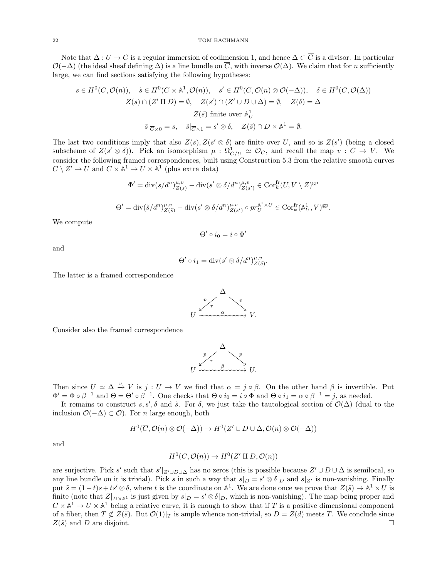Note that  $\Delta: U \to C$  is a regular immersion of codimension 1, and hence  $\Delta \subset \overline{C}$  is a divisor. In particular  $\mathcal{O}(-\Delta)$  (the ideal sheaf defining  $\Delta$ ) is a line bundle on  $\overline{C}$ , with inverse  $\mathcal{O}(\Delta)$ . We claim that for n sufficiently large, we can find sections satisfying the following hypotheses:

$$
s \in H^{0}(\overline{C}, \mathcal{O}(n)), \quad \tilde{s} \in H^{0}(\overline{C} \times \mathbb{A}^{1}, \mathcal{O}(n)), \quad s' \in H^{0}(\overline{C}, \mathcal{O}(n) \otimes \mathcal{O}(-\Delta)), \quad \delta \in H^{0}(\overline{C}, \mathcal{O}(\Delta))
$$

$$
Z(s) \cap (Z' \amalg D) = \emptyset, \quad Z(s') \cap (Z' \cup D \cup \Delta) = \emptyset, \quad Z(\delta) = \Delta
$$

$$
Z(\tilde{s}) \text{ finite over } \mathbb{A}^{1}_{U}
$$

$$
\tilde{s}|_{\overline{C} \times 0} = s, \quad \tilde{s}|_{\overline{C} \times 1} = s' \otimes \delta, \quad Z(\tilde{s}) \cap D \times \mathbb{A}^{1} = \emptyset.
$$

The last two conditions imply that also  $Z(s)$ ,  $Z(s' \otimes \delta)$  are finite over U, and so is  $Z(s')$  (being a closed subscheme of  $Z(s' \otimes \delta)$ ). Pick an isomorphism  $\mu : \Omega^1_{C/U} \simeq \mathcal{O}_C$ , and recall the map  $v : C \to V$ . We consider the following framed correspondences, built using Construction [5.3](#page-14-2) from the relative smooth curves  $C \setminus Z' \to U$  and  $C \times \mathbb{A}^1 \to U \times \mathbb{A}^1$  (plus extra data)

$$
\Phi' = \text{div}(s/d^n)_{Z(s)}^{\mu, v} - \text{div}(s' \otimes \delta/d^n)_{Z(s')}^{\mu, v} \in \text{Cor}_{k}^{\text{fr}}(U, V \setminus Z)^{\text{gp}}
$$
  

$$
\Theta' = \text{div}(\tilde{s}/d^n)_{Z(\tilde{s})}^{\mu, v} - \text{div}(s' \otimes \delta/d^n)_{Z(s')}^{\mu, v} \circ pr_U^{\mathbb{A}^1 \times U} \in \text{Cor}_{k}^{\text{fr}}(\mathbb{A}_U^1, V)^{\text{gp}}.
$$

We compute

$$
\Theta'\circ i_0=i\circ\Phi'
$$

and

$$
\Theta' \circ i_1 = \operatorname{div}(s' \otimes \delta/d^n)_{Z(\delta)}^{\mu, v}.
$$

The latter is a framed correspondence



Consider also the framed correspondence



Then since  $U \simeq \Delta \stackrel{v}{\to} V$  is  $j: U \to V$  we find that  $\alpha = j \circ \beta$ . On the other hand  $\beta$  is invertible. Put  $\Phi' = \Phi \circ \beta^{-1}$  and  $\Theta = \Theta' \circ \beta^{-1}$ . One checks that  $\Theta \circ i_0 = i \circ \Phi$  and  $\Theta \circ i_1 = \alpha \circ \beta^{-1} = j$ , as needed.

It remains to construct s, s',  $\delta$  and  $\tilde{s}$ . For  $\delta$ , we just take the tautological section of  $\mathcal{O}(\Delta)$  (dual to the inclusion O(−∆) ⊂ O). For n large enough, both

$$
H^0(\overline{C}, \mathcal{O}(n) \otimes \mathcal{O}(-\Delta)) \to H^0(Z' \cup D \cup \Delta, \mathcal{O}(n) \otimes \mathcal{O}(-\Delta))
$$

and

$$
H^0(\overline{C}, \mathcal{O}(n)) \to H^0(Z' \amalg D, \mathcal{O}(n))
$$

are surjective. Pick s' such that  $s'|_{Z' \cup D \cup \Delta}$  has no zeros (this is possible because  $Z' \cup D \cup \Delta$  is semilocal, so any line bundle on it is trivial). Pick s in such a way that  $s|_D = s' \otimes \delta|_D$  and  $s|_{Z'}$  is non-vanishing. Finally put  $\tilde{s} = (1-t)s + ts' \otimes \delta$ , where t is the coordinate on  $\mathbb{A}^1$ . We are done once we prove that  $Z(\tilde{s}) \to \mathbb{A}^1 \times U$  is finite (note that  $Z|_{D\times\mathbb{A}^1}$  is just given by  $s|_D = s' \otimes \delta|_D$ , which is non-vanishing). The map being proper and  $\overline{C} \times \mathbb{A}^1 \to U \times \mathbb{A}^1$  being a relative curve, it is enough to show that if T is a positive dimensional component of a fiber, then  $T \not\subset Z(\tilde{s})$ . But  $\mathcal{O}(1)|_T$  is ample whence non-trivial, so  $D = Z(d)$  meets T. We conclude since  $Z(\tilde{s})$  and D are disjoint.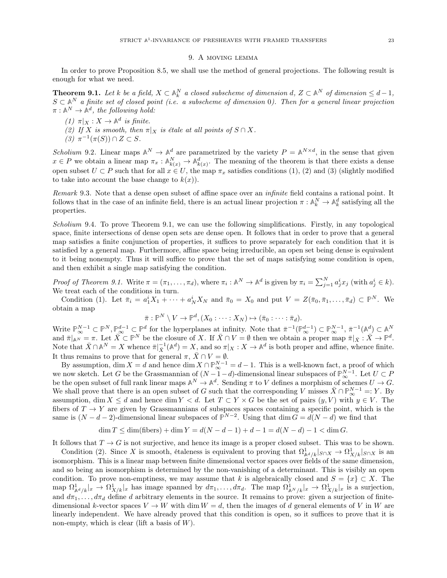#### 9. A moving lemma

<span id="page-22-0"></span>In order to prove Proposition [8.5,](#page-20-0) we shall use the method of general projections. The following result is enough for what we need.

<span id="page-22-1"></span>**Theorem 9.1.** Let k be a field,  $X \subset \mathbb{A}_k^N$  a closed subscheme of dimension d,  $Z \subset \mathbb{A}^N$  of dimension  $\leq d-1$ ,  $S \subset \mathbb{A}^N$  a finite set of closed point (i.e. a subscheme of dimension 0). Then for a general linear projection  $\pi : \mathbb{A}^N \to \mathbb{A}^d$ , the following hold:

- (1)  $\pi|_X : X \to \mathbb{A}^d$  is finite.
- (2) If X is smooth, then  $\pi|_X$  is étale at all points of  $S \cap X$ .
- (3)  $\pi^{-1}(\pi(S)) \cap Z \subset S$ .

Scholium 9.2. Linear maps  $\mathbb{A}^N \to \mathbb{A}^d$  are parametrized by the variety  $P = \mathbb{A}^{N \times d}$ , in the sense that given  $x \in P$  we obtain a linear map  $\pi_x : \mathbb{A}^N_{k(x)} \to \mathbb{A}^d_{k(x)}$ . The meaning of the theorem is that there exists a dense open subset  $U \subset P$  such that for all  $x \in U$ , the map  $\pi_x$  satisfies conditions (1), (2) and (3) (slightly modified to take into account the base change to  $k(x)$ ).

Remark 9.3. Note that a dense open subset of affine space over an infinite field contains a rational point. It follows that in the case of an infinite field, there is an actual linear projection  $\pi: \mathbb{A}_k^N \to \mathbb{A}_k^d$  satisfying all the properties.

Scholium 9.4. To prove Theorem [9.1,](#page-22-1) we can use the following simplifications. Firstly, in any topological space, finite intersections of dense open sets are dense open. It follows that in order to prove that a general map satisfies a finite conjunction of properties, it suffices to prove separately for each condition that it is satisfied by a general map. Furthermore, affine space being irreducible, an open set being dense is equivalent to it being nonempty. Thus it will suffice to prove that the set of maps satisfying some condition is open, and then exhibit a single map satisfying the condition.

Proof of Theorem [9.1.](#page-22-1) Write  $\pi = (\pi_1, \ldots, \pi_d)$ , where  $\pi_i : \mathbb{A}^N \to \mathbb{A}^d$  is given by  $\pi_i = \sum_{j=1}^N a_j^i x_j$  (with  $a_j^i \in k$ ). We treat each of the conditions in turn.

Condition (1). Let  $\bar{\pi}_i = a_1^i X_1 + \cdots + a_N^i X_N$  and  $\bar{\pi}_0 = X_0$  and put  $V = Z(\bar{\pi}_0, \bar{\pi}_1, \ldots, \bar{\pi}_d) \subset \mathbb{P}^N$ . We obtain a map

$$
\bar{\pi}: \mathbb{P}^N \setminus V \to \mathbb{P}^d, (X_0 : \cdots : X_N) \mapsto (\bar{\pi}_0 : \cdots : \bar{\pi}_d).
$$

Write  $\mathbb{P}_{\infty}^{N-1} \subset \mathbb{P}^N$ ,  $\mathbb{P}_{\infty}^{d-1} \subset \mathbb{P}^d$  for the hyperplanes at infinity. Note that  $\bar{\pi}^{-1}(\mathbb{P}_{\infty}^{d-1}) \subset \mathbb{P}_{\infty}^{N-1}$ ,  $\bar{\pi}^{-1}(\mathbb{A}_{\perp}^d) \subset \mathbb{A}^N$ and  $\bar{\pi}|_{\mathbb{A}^N} = \pi$ . Let  $\bar{X} \subset \mathbb{P}^N$  be the closure of X. If  $\bar{X} \cap V = \emptyset$  then we obtain a proper map  $\bar{\pi}|_{\bar{X}} : \bar{X} \to \mathbb{P}^d$ . Note that  $\bar{X} \cap \mathbb{A}^N = X$  whence  $\bar{\pi} \big|_{\bar{X}}^{-1}(\mathbb{A}^d) = X$ , and so  $\pi |_{X} : X \to \mathbb{A}^d$  is both proper and affine, whence finite. It thus remains to prove that for general  $\pi$ ,  $\bar{X} \cap V = \emptyset$ .

By assumption, dim  $X = d$  and hence dim  $X \cap \mathbb{P}_{\infty}^{N-1} = d - 1$ . This is a well-known fact, a proof of which we now sketch. Let G be the Grassmannian of  $(N-1-d)$ -dimensional linear subspaces of  $\mathbb{P}_{\infty}^{N-1}$ . Let  $U \subset P$ be the open subset of full rank linear maps  $\mathbb{A}^N \to \mathbb{A}^d$ . Sending  $\pi$  to V defines a morphism of schemes  $U \to G$ . We shall prove that there is an open subset of G such that the corresponding V misses  $\bar{X} \cap \mathbb{P}_{\infty}^{N-1} =: Y$ . By assumption, dim  $X \leq d$  and hence dim  $Y \leq d$ . Let  $T \subset Y \times G$  be the set of pairs  $(y, V)$  with  $y \in V$ . The fibers of  $T \to Y$  are given by Grassmannians of subspaces spaces containing a specific point, which is the same is  $(N - d - 2)$ -dimensional linear subspaces of  $\mathbb{P}^{N-2}$ . Using that dim  $G = d(N - d)$  we find that

$$
\dim T \le \dim(\text{fibers}) + \dim Y = d(N - d - 1) + d - 1 = d(N - d) - 1 < \dim G.
$$

It follows that  $T \to G$  is not surjective, and hence its image is a proper closed subset. This was to be shown.

Condition (2). Since X is smooth, étaleness is equivalent to proving that  $\Omega_{\mathbb{A}^{d}/k}^{1}|_{S\cap X} \to \Omega_{X/k}^{1}|_{S\cap X}$  is an isomorphism. This is a linear map between finite dimensional vector spaces over fields of the same dimension, and so being an isomorphism is determined by the non-vanishing of a determinant. This is visibly an open condition. To prove non-emptiness, we may assume that k is algebraically closed and  $S = \{x\} \subset X$ . The map  $\Omega_{\mathbb{A}^d/k}^1|x \to \Omega_{X/k}^1|x$  has image spanned by  $d\pi_1, \ldots, d\pi_d$ . The map  $\Omega_{\mathbb{A}^N/k}^1|x \to \Omega_{X/k}^1|x$  is a surjection, and  $d\pi_1, \ldots, d\pi_d$  define d arbitrary elements in the source. It remains to prove: given a surjection of finitedimensional k-vector spaces  $V \to W$  with dim  $W = d$ , then the images of d general elements of V in W are linearly independent. We have already proved that this condition is open, so it suffices to prove that it is non-empty, which is clear (lift a basis of  $W$ ).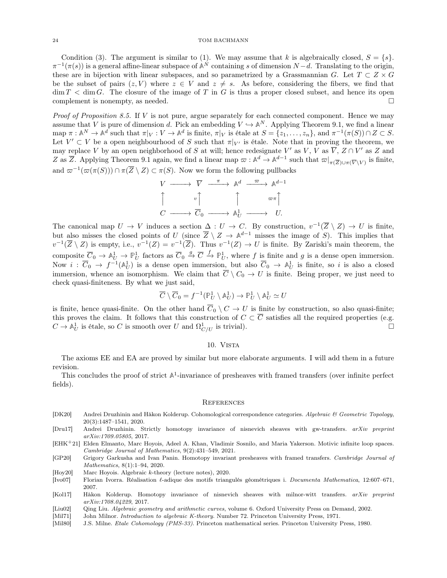Condition (3). The argument is similar to (1). We may assume that k is algebraically closed,  $S = \{s\}$ .  $\pi^{-1}(\pi(s))$  is a general affine-linear subspace of  $\mathbb{A}^N$  containing s of dimension  $N-d$ . Translating to the origin, these are in bijection with linear subspaces, and so parametrized by a Grassmannian G. Let  $T \subset Z \times G$ be the subset of pairs  $(z, V)$  where  $z \in V$  and  $z \neq s$ . As before, considering the fibers, we find that  $\dim T < \dim G$ . The closure of the image of T in G is thus a proper closed subset, and hence its open complement is nonempty, as needed.

*Proof of Proposition [8.5.](#page-20-0)* If  $V$  is not pure, argue separately for each connected component. Hence we may assume that V is pure of dimension d. Pick an embedding  $V \hookrightarrow \mathbb{A}^N$ . Applying Theorem [9.1,](#page-22-1) we find a linear  $\text{map } \pi : \mathbb{A}^N \to \mathbb{A}^d \text{ such that } \pi|_V : V \to \mathbb{A}^d \text{ is finite, } \pi|_V \text{ is étale at } S = \{z_1, \ldots, z_n\}, \text{ and } \pi^{-1}(\pi(S)) \cap Z \subset S.$ Let  $V' \subset V$  be a open neighbourhood of S such that  $\pi|_{V'}$  is étale. Note that in proving the theorem, we may replace V by an open neighborhood of S at will; hence redesignate V' as V, V as  $\overline{V}$ ,  $Z \cap V'$  as Z and Z as  $\overline{Z}$ . Applying Theorem [9.1](#page-22-1) again, we find a linear map  $\overline{\omega}: \mathbb{A}^d \to \mathbb{A}^{d-1}$  such that  $\overline{\omega}|_{\pi(\overline{Z}) \cup \pi(\overline{V} \setminus V)}$  is finite, and  $\varpi^{-1}(\varpi(\pi(S))) \cap \pi(\overline{Z} \setminus Z) \subset \pi(S)$ . Now we form the following pullbacks

$$
V \longrightarrow \overline{V} \longrightarrow \mathbb{A}^d \longrightarrow \mathbb{A}^{d-1}
$$
  

$$
\uparrow \qquad \qquad v \uparrow \qquad \qquad \uparrow \qquad \qquad \varpi \uparrow
$$
  

$$
C \longrightarrow \overline{C}_0 \longrightarrow \mathbb{A}^1_U \longrightarrow U.
$$

The canonical map  $U \to V$  induces a section  $\Delta: U \to C$ . By construction,  $v^{-1}(\overline{Z} \setminus Z) \to U$  is finite, but also misses the closed points of U (since  $\overline{Z} \setminus Z \to \mathbb{A}^{d-1}$  misses the image of S). This implies that  $v^{-1}(\overline{Z} \setminus Z)$  is empty, i.e.,  $v^{-1}(Z) = v^{-1}(\overline{Z})$ . Thus  $v^{-1}(Z) \to U$  is finite. By Zariski's main theorem, the composite  $\overline{C}_0 \to \mathbb{A}^1_U \to \mathbb{P}^1_U$  factors as  $\overline{C}_0 \stackrel{g}{\to} \overline{C} \stackrel{f}{\to} \mathbb{P}^1_U$ , where f is finite and g is a dense open immersion. Now  $i: \overline{C}_0 \to f^{-1}(\mathbb{A}^1_U)$  is a dense open immersion, but also  $\overline{C}_0 \to \mathbb{A}^1_U$  is finite, so i is also a closed immersion, whence an isomorphism. We claim that  $\overline{C} \setminus C_0 \to U$  is finite. Being proper, we just need to check quasi-finiteness. By what we just said,

$$
\overline{C}\setminus \overline{C}_0 = f^{-1}(\mathbb{P}^1_U\setminus \mathbb{A}^1_U) \to \mathbb{P}^1_U\setminus \mathbb{A}^1_U \simeq U
$$

is finite, hence quasi-finite. On the other hand  $\overline{C}_0 \setminus C \to U$  is finite by construction, so also quasi-finite; this proves the claim. It follows that this construction of  $C \subset \overline{C}$  satisfies all the required properties (e.g.  $C \to \mathbb{A}^1_U$  is étale, so C is smooth over U and  $\Omega^1_{C/U}$  is trivial).

### 10. Vista

<span id="page-23-0"></span>The axioms EE and EA are proved by similar but more elaborate arguments. I will add them in a future revision.

This concludes the proof of strict  $A^1$ -invariance of presheaves with framed transfers (over infinite perfect fields).

#### <span id="page-23-1"></span>**REFERENCES**

- <span id="page-23-6"></span>[DK20] Andrei Druzhinin and Håkon Kolderup. Cohomological correspondence categories. Algebraic & Geometric Topology, 20(3):1487–1541, 2020.
- <span id="page-23-4"></span>[Dru17] Andrei Druzhinin. Strictly homotopy invariance of nisnevich sheaves with gw-transfers. arXiv preprint arXiv:1709.05805, 2017.
- <span id="page-23-2"></span>[EHK+21] Elden Elmanto, Marc Hoyois, Adeel A. Khan, Vladimir Sosnilo, and Maria Yakerson. Motivic infinite loop spaces. Cambridge Journal of Mathematics, 9(2):431–549, 2021.
- <span id="page-23-3"></span>[GP20] Grigory Garkusha and Ivan Panin. Homotopy invariant presheaves with framed transfers. Cambridge Journal of Mathematics, 8(1):1–94, 2020.
- <span id="page-23-9"></span>[Hoy20] Marc Hoyois. Algebraic k-theory (lecture notes), 2020.
- <span id="page-23-11"></span>[Ivo07] Florian Ivorra. Réalisation  $\ell$ -adique des motifs triangulés géométriques i. Documenta Mathematica, 12:607–671, 2007.
- <span id="page-23-5"></span>[Kol17] Håkon Kolderup. Homotopy invariance of nisnevich sheaves with milnor-witt transfers. arXiv preprint arXiv:1708.04229, 2017.
- <span id="page-23-7"></span>[Liu02] Qing Liu. Algebraic geometry and arithmetic curves, volume 6. Oxford University Press on Demand, 2002.
- <span id="page-23-10"></span>[Mil71] John Milnor. *Introduction to algebraic K-theory*. Number 72. Princeton University Press, 1971.
- <span id="page-23-8"></span>[Mil80] J.S. Milne. Etale Cohomology (PMS-33). Princeton mathematical series. Princeton University Press, 1980.